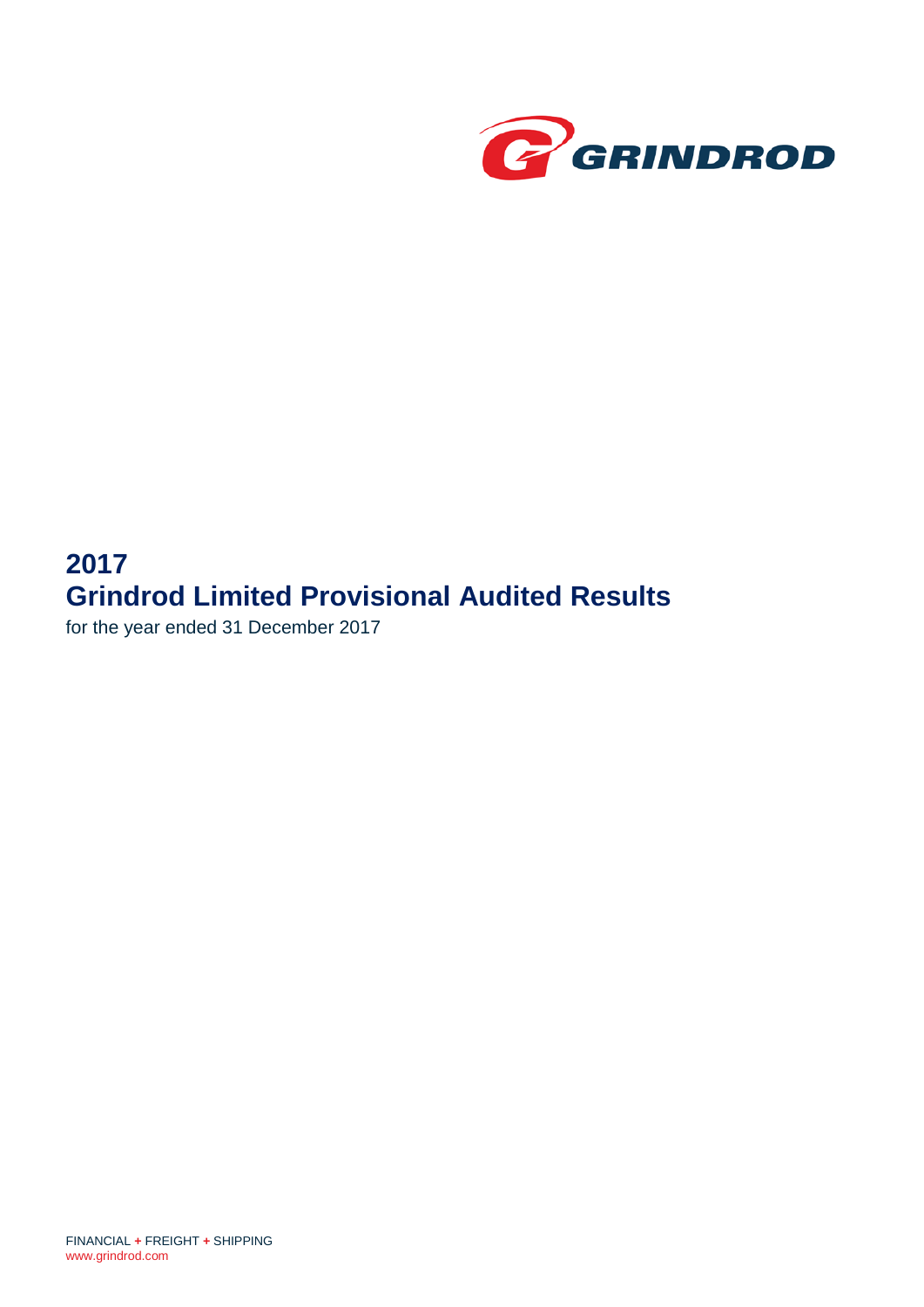

# **2017 Grindrod Limited Provisional Audited Results**

for the year ended 31 December 2017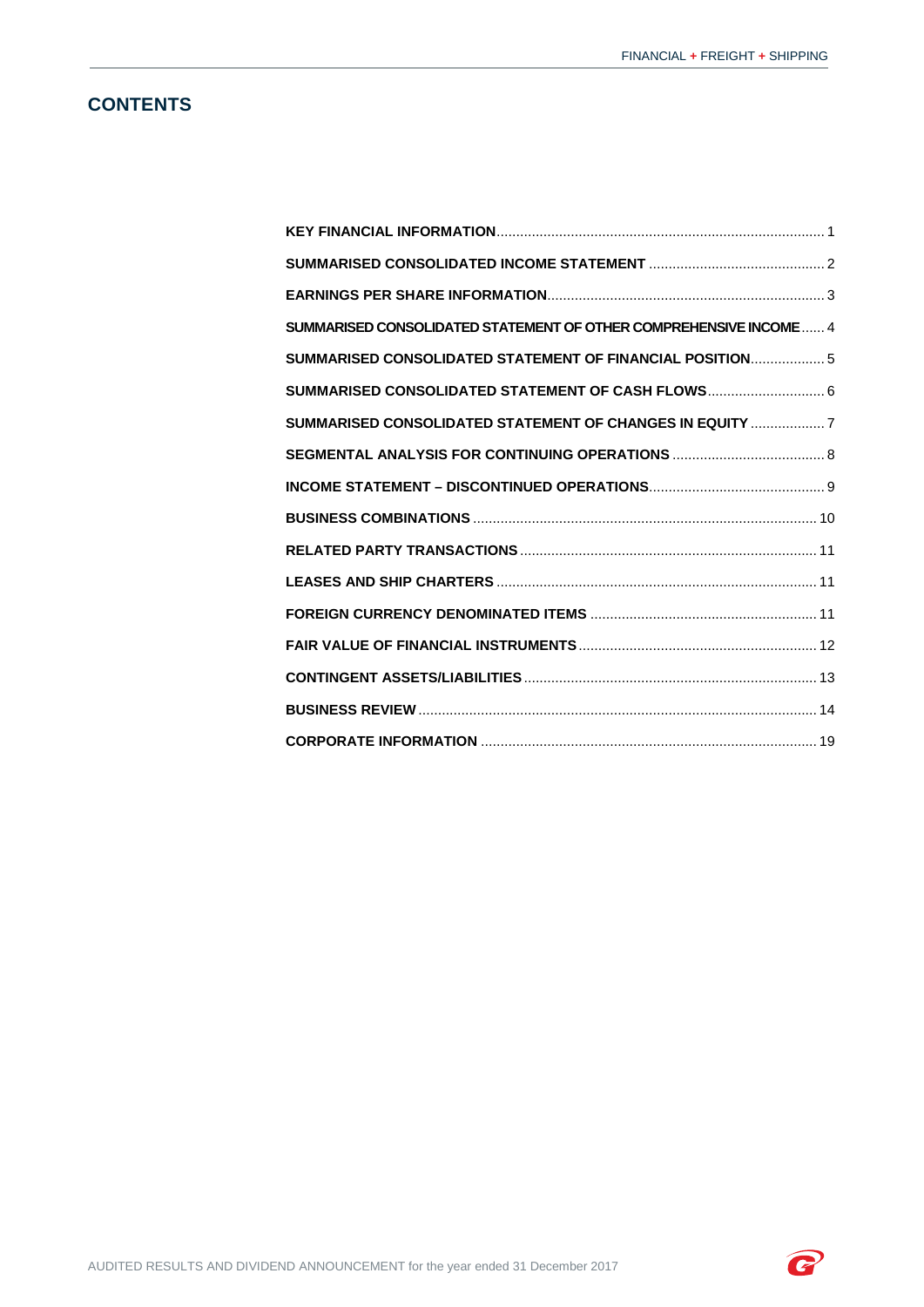# **CONTENTS**

| SUMMARISED CONSOLIDATED STATEMENT OF OTHER COMPREHENSIVE INCOME 4 |  |
|-------------------------------------------------------------------|--|
| SUMMARISED CONSOLIDATED STATEMENT OF FINANCIAL POSITION 5         |  |
| SUMMARISED CONSOLIDATED STATEMENT OF CASH FLOWS 6                 |  |
| SUMMARISED CONSOLIDATED STATEMENT OF CHANGES IN EQUITY  7         |  |
|                                                                   |  |
|                                                                   |  |
|                                                                   |  |
|                                                                   |  |
|                                                                   |  |
|                                                                   |  |
|                                                                   |  |
|                                                                   |  |
|                                                                   |  |
|                                                                   |  |

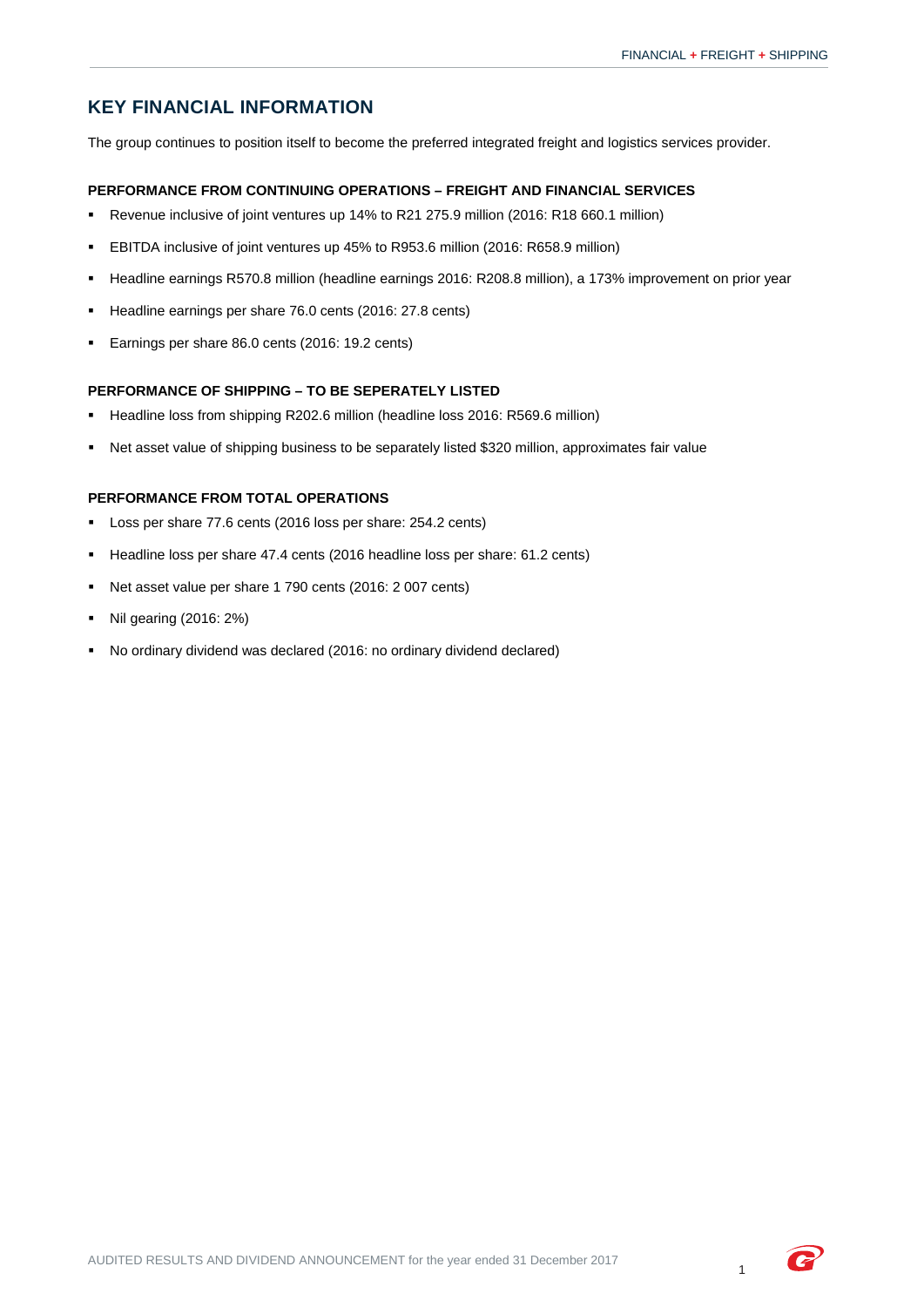# <span id="page-2-0"></span>**KEY FINANCIAL INFORMATION**

The group continues to position itself to become the preferred integrated freight and logistics services provider.

## **PERFORMANCE FROM CONTINUING OPERATIONS – FREIGHT AND FINANCIAL SERVICES**

- Revenue inclusive of joint ventures up 14% to R21 275.9 million (2016: R18 660.1 million)
- EBITDA inclusive of joint ventures up 45% to R953.6 million (2016: R658.9 million)
- Headline earnings R570.8 million (headline earnings 2016: R208.8 million), a 173% improvement on prior year
- Headline earnings per share 76.0 cents (2016: 27.8 cents)
- **Earnings per share 86.0 cents (2016: 19.2 cents)**

## **PERFORMANCE OF SHIPPING – TO BE SEPERATELY LISTED**

- Headline loss from shipping R202.6 million (headline loss 2016: R569.6 million)
- Net asset value of shipping business to be separately listed \$320 million, approximates fair value

#### **PERFORMANCE FROM TOTAL OPERATIONS**

- Loss per share 77.6 cents (2016 loss per share: 254.2 cents)
- Headline loss per share 47.4 cents (2016 headline loss per share: 61.2 cents)
- Net asset value per share 1 790 cents (2016: 2 007 cents)
- Nil gearing (2016: 2%)
- No ordinary dividend was declared (2016: no ordinary dividend declared)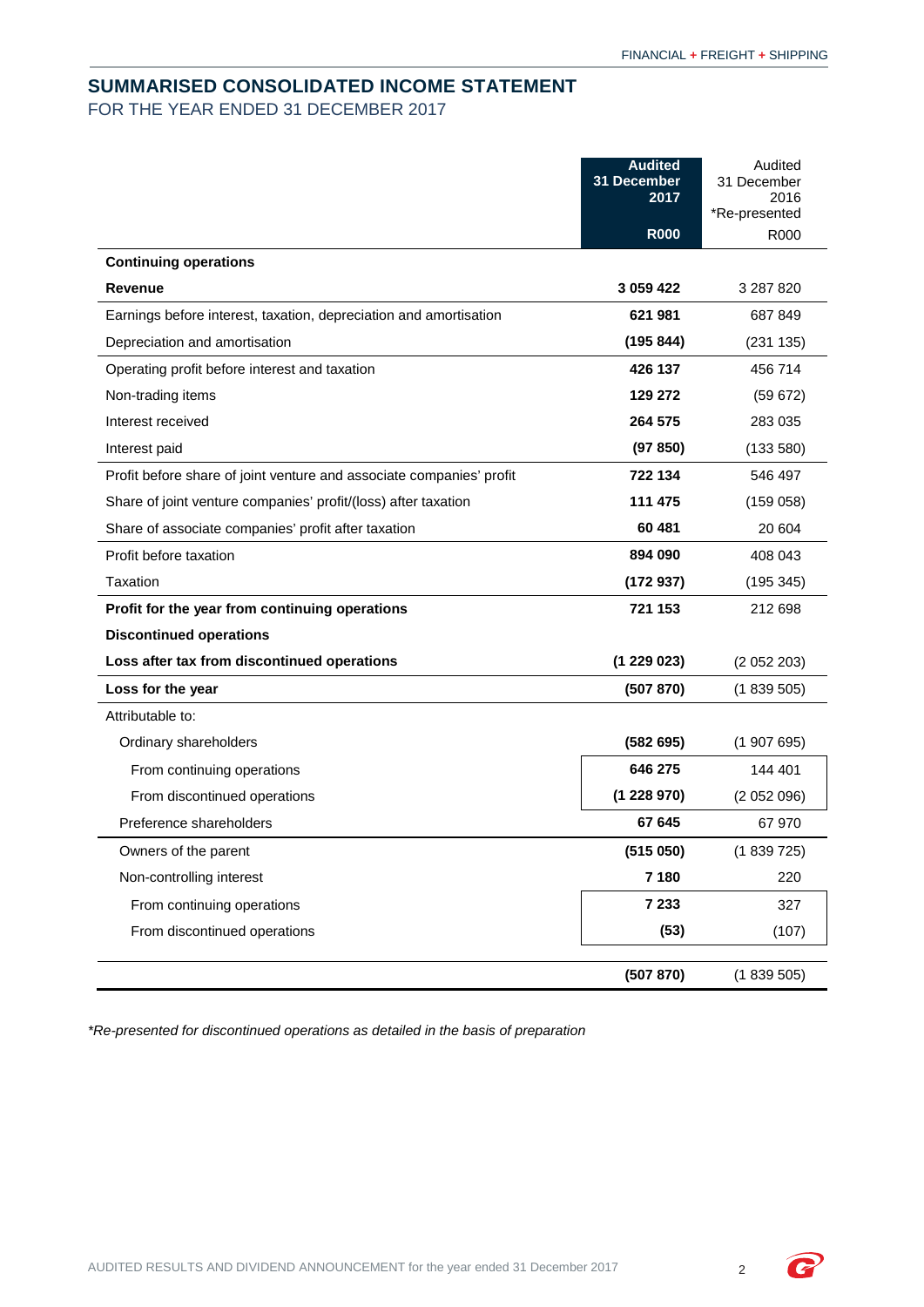# <span id="page-3-0"></span>**SUMMARISED CONSOLIDATED INCOME STATEMENT** FOR THE YEAR ENDED 31 DECEMBER 2017

|                                                                      | <b>Audited</b><br>31 December<br>2017 | Audited<br>31 December<br>2016<br>*Re-presented |
|----------------------------------------------------------------------|---------------------------------------|-------------------------------------------------|
|                                                                      | <b>R000</b>                           | R000                                            |
| <b>Continuing operations</b>                                         |                                       |                                                 |
| Revenue                                                              | 3 059 422                             | 3 287 820                                       |
| Earnings before interest, taxation, depreciation and amortisation    | 621 981                               | 687 849                                         |
| Depreciation and amortisation                                        | (195844)                              | (231135)                                        |
| Operating profit before interest and taxation                        | 426 137                               | 456 714                                         |
| Non-trading items                                                    | 129 272                               | (59672)                                         |
| Interest received                                                    | 264 575                               | 283 035                                         |
| Interest paid                                                        | (97 850)                              | (133580)                                        |
| Profit before share of joint venture and associate companies' profit | 722 134                               | 546 497                                         |
| Share of joint venture companies' profit/(loss) after taxation       | 111 475                               | (159058)                                        |
| Share of associate companies' profit after taxation                  | 60 481                                | 20 604                                          |
| Profit before taxation                                               | 894 090                               | 408 043                                         |
| Taxation                                                             | (172937)                              | (195345)                                        |
| Profit for the year from continuing operations                       | 721 153                               | 212 698                                         |
| <b>Discontinued operations</b>                                       |                                       |                                                 |
| Loss after tax from discontinued operations                          | (1229023)                             | (2052203)                                       |
| Loss for the year                                                    | (507 870)                             | (1839505)                                       |
| Attributable to:                                                     |                                       |                                                 |
| Ordinary shareholders                                                | (582695)                              | (1907695)                                       |
| From continuing operations                                           | 646 275                               | 144 401                                         |
| From discontinued operations                                         | (1228970)                             | (2052096)                                       |
| Preference shareholders                                              | 67 645                                | 67 970                                          |
| Owners of the parent                                                 | (515050)                              | (1839725)                                       |
| Non-controlling interest                                             | 7 180                                 | 220                                             |
| From continuing operations                                           | 7 2 3 3                               | 327                                             |
| From discontinued operations                                         | (53)                                  | (107)                                           |
|                                                                      | (507 870)                             | (1839505)                                       |

*\*Re-presented for discontinued operations as detailed in the basis of preparation*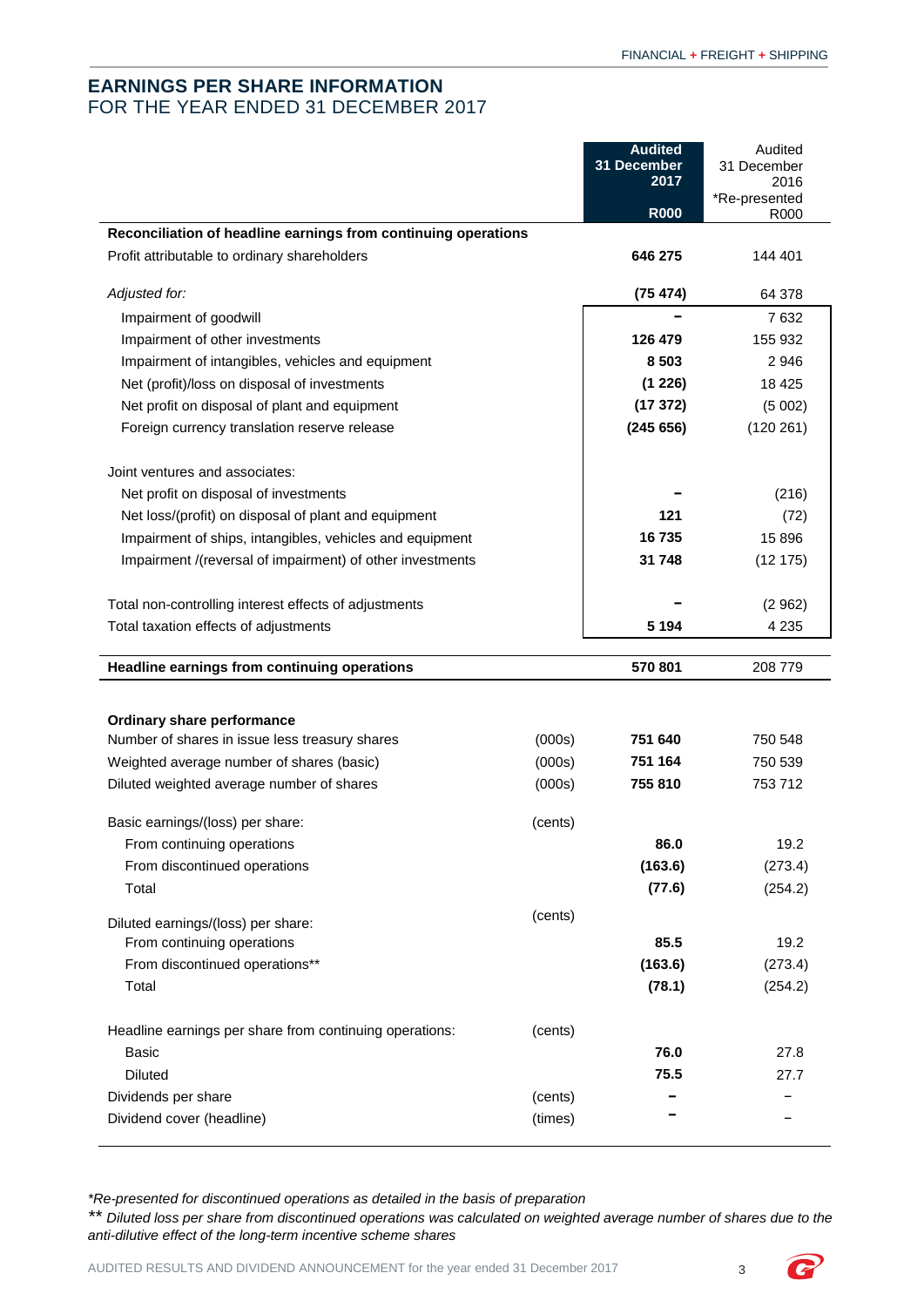# <span id="page-4-0"></span>**EARNINGS PER SHARE INFORMATION** FOR THE YEAR ENDED 31 DECEMBER 2017

|                                                                |                    | <b>Audited</b>      | Audited             |
|----------------------------------------------------------------|--------------------|---------------------|---------------------|
|                                                                |                    | 31 December<br>2017 | 31 December<br>2016 |
|                                                                |                    |                     | *Re-presented       |
| Reconciliation of headline earnings from continuing operations |                    | <b>R000</b>         | R000                |
| Profit attributable to ordinary shareholders                   |                    | 646 275             | 144 401             |
|                                                                |                    |                     |                     |
| Adjusted for:                                                  |                    | (75474)             | 64 378              |
| Impairment of goodwill                                         |                    |                     | 7632                |
| Impairment of other investments                                |                    | 126 479             | 155 932             |
| Impairment of intangibles, vehicles and equipment              |                    | 8 5 0 3             | 2946                |
| Net (profit)/loss on disposal of investments                   |                    | (1 226)             | 18 4 25             |
| Net profit on disposal of plant and equipment                  |                    | (17372)             | (5002)              |
| Foreign currency translation reserve release                   |                    | (245656)            | (120 261)           |
| Joint ventures and associates:                                 |                    |                     |                     |
| Net profit on disposal of investments                          |                    |                     | (216)               |
| Net loss/(profit) on disposal of plant and equipment           |                    | 121                 | (72)                |
| Impairment of ships, intangibles, vehicles and equipment       |                    | 16 735              | 15 8 96             |
| Impairment /(reversal of impairment) of other investments      |                    | 31 748              | (12175)             |
|                                                                |                    |                     |                     |
| Total non-controlling interest effects of adjustments          |                    |                     | (2962)              |
| Total taxation effects of adjustments                          |                    | 5 1 9 4             | 4 2 3 5             |
|                                                                |                    |                     |                     |
|                                                                |                    |                     |                     |
| Headline earnings from continuing operations                   |                    | 570 801             | 208 779             |
|                                                                |                    |                     |                     |
| Ordinary share performance                                     |                    |                     |                     |
| Number of shares in issue less treasury shares                 | (000s)             | 751 640             | 750 548             |
| Weighted average number of shares (basic)                      | (000s)             | 751 164             | 750 539             |
| Diluted weighted average number of shares                      | (000s)             | 755 810             | 753712              |
|                                                                |                    |                     |                     |
| Basic earnings/(loss) per share:                               | (cents)            |                     | 19.2                |
| From continuing operations                                     |                    | 86.0                |                     |
| From discontinued operations                                   |                    | (163.6)             | (273.4)             |
| Total                                                          |                    | (77.6)              | (254.2)             |
| Diluted earnings/(loss) per share:                             | (cents)            |                     |                     |
| From continuing operations                                     |                    | 85.5                | 19.2                |
| From discontinued operations**                                 |                    | (163.6)             | (273.4)             |
| Total                                                          |                    | (78.1)              | (254.2)             |
| Headline earnings per share from continuing operations:        | (cents)            |                     |                     |
| <b>Basic</b>                                                   |                    | 76.0                | 27.8                |
| <b>Diluted</b>                                                 |                    | 75.5                | 27.7                |
|                                                                |                    |                     |                     |
| Dividends per share<br>Dividend cover (headline)               | (cents)<br>(times) |                     |                     |

*\*Re-presented for discontinued operations as detailed in the basis of preparation*

*\*\* Diluted loss per share from discontinued operations was calculated on weighted average number of shares due to the anti-dilutive effect of the long-term incentive scheme shares*

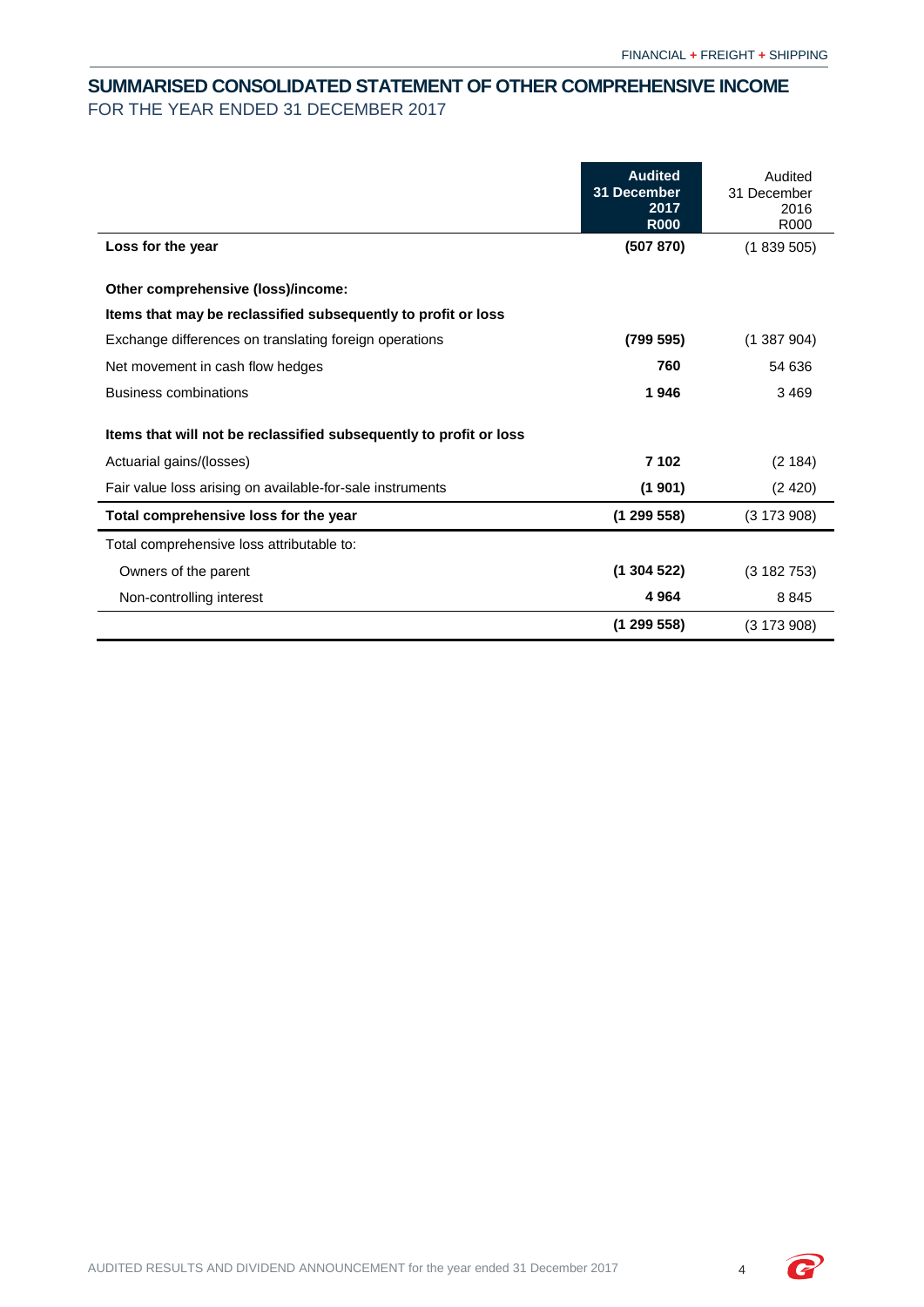# <span id="page-5-0"></span>**SUMMARISED CONSOLIDATED STATEMENT OF OTHER COMPREHENSIVE INCOME** FOR THE YEAR ENDED 31 DECEMBER 2017

|                                                                    | <b>Audited</b><br>31 December<br>2017<br><b>R000</b> | Audited<br>31 December<br>2016<br>R000 |
|--------------------------------------------------------------------|------------------------------------------------------|----------------------------------------|
| Loss for the year                                                  | (507 870)                                            | (1839505)                              |
| Other comprehensive (loss)/income:                                 |                                                      |                                        |
| Items that may be reclassified subsequently to profit or loss      |                                                      |                                        |
| Exchange differences on translating foreign operations             | (799 595)                                            | (1387904)                              |
| Net movement in cash flow hedges                                   | 760                                                  | 54 636                                 |
| <b>Business combinations</b>                                       | 1946                                                 | 3469                                   |
| Items that will not be reclassified subsequently to profit or loss |                                                      |                                        |
| Actuarial gains/(losses)                                           | 7 102                                                | (2184)                                 |
| Fair value loss arising on available-for-sale instruments          | (1901)                                               | (2420)                                 |
| Total comprehensive loss for the year                              | (1299558)                                            | $(3\ 173\ 908)$                        |
| Total comprehensive loss attributable to:                          |                                                      |                                        |
| Owners of the parent                                               | (1304522)                                            | (3182753)                              |
| Non-controlling interest                                           | 4964                                                 | 8845                                   |
|                                                                    | (1299558)                                            | (3173908)                              |

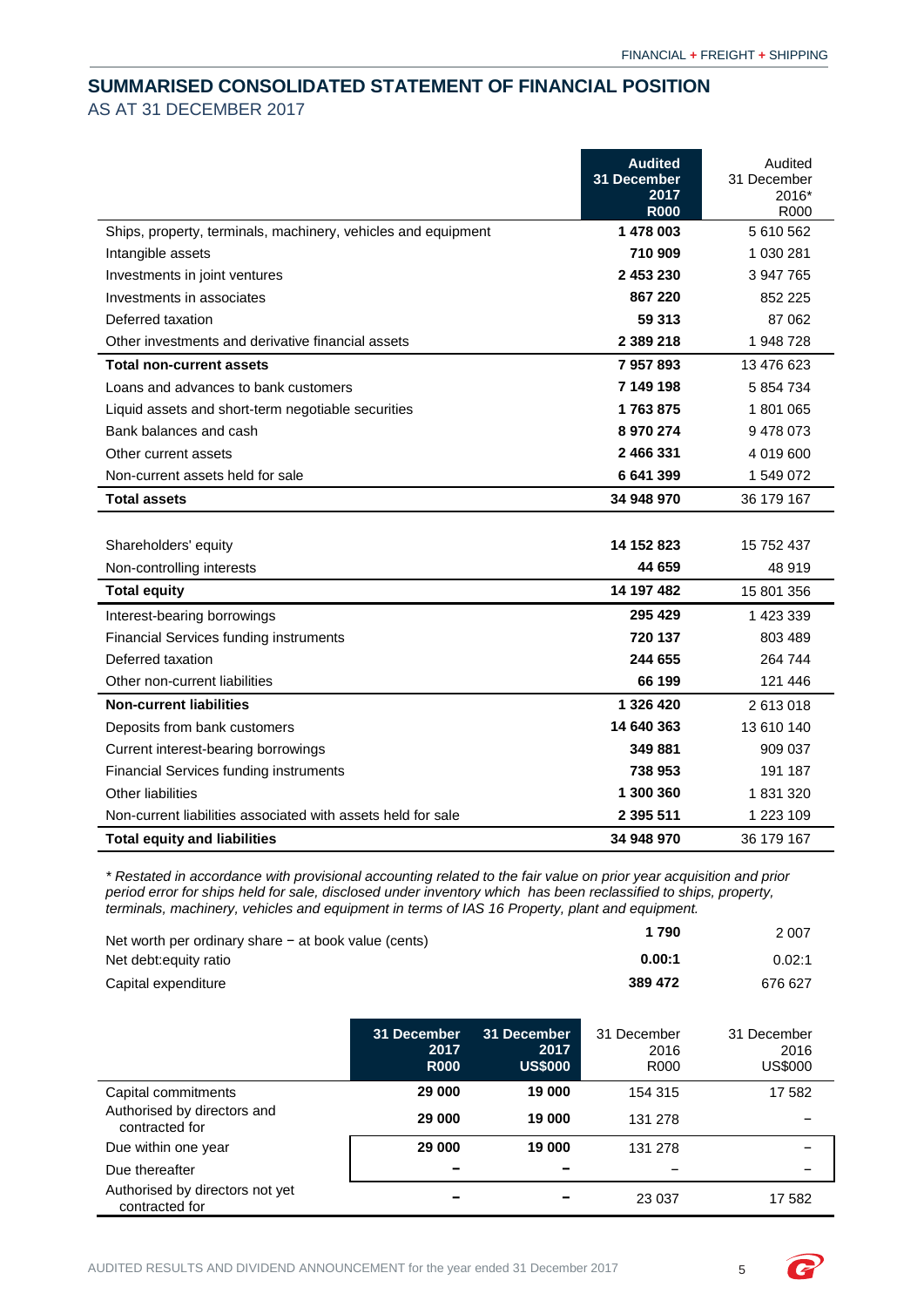# <span id="page-6-0"></span>**SUMMARISED CONSOLIDATED STATEMENT OF FINANCIAL POSITION** AS AT 31 DECEMBER 2017

|                                                               | <b>Audited</b><br>31 December<br>2017 | Audited<br>31 December<br>2016* |
|---------------------------------------------------------------|---------------------------------------|---------------------------------|
|                                                               | <b>R000</b>                           | R000                            |
| Ships, property, terminals, machinery, vehicles and equipment | 1 478 003                             | 5610562                         |
| Intangible assets                                             | 710 909                               | 1 030 281                       |
| Investments in joint ventures                                 | 2 453 230                             | 3 947 765                       |
| Investments in associates                                     | 867 220                               | 852 225                         |
| Deferred taxation                                             | 59 313                                | 87 062                          |
| Other investments and derivative financial assets             | 2 3 8 9 2 1 8                         | 1948728                         |
| <b>Total non-current assets</b>                               | 7957893                               | 13 476 623                      |
| Loans and advances to bank customers                          | 7 149 198                             | 5 854 734                       |
| Liquid assets and short-term negotiable securities            | 1763875                               | 1801065                         |
| Bank balances and cash                                        | 8 970 274                             | 9478073                         |
| Other current assets                                          | 2 466 331                             | 4 019 600                       |
| Non-current assets held for sale                              | 6 641 399                             | 1549072                         |
| <b>Total assets</b>                                           | 34 948 970                            | 36 179 167                      |
|                                                               |                                       |                                 |
| Shareholders' equity                                          | 14 152 823                            | 15 752 437                      |
| Non-controlling interests                                     | 44 659                                | 48 919                          |
| <b>Total equity</b>                                           | 14 197 482                            | 15 801 356                      |
| Interest-bearing borrowings                                   | 295 429                               | 1 423 339                       |
| <b>Financial Services funding instruments</b>                 | 720 137                               | 803 489                         |
| Deferred taxation                                             | 244 655                               | 264 744                         |
| Other non-current liabilities                                 | 66 199                                | 121 446                         |
| <b>Non-current liabilities</b>                                | 1 326 420                             | 2613018                         |
| Deposits from bank customers                                  | 14 640 363                            | 13 610 140                      |
| Current interest-bearing borrowings                           | 349881                                | 909 037                         |
| <b>Financial Services funding instruments</b>                 | 738 953                               | 191 187                         |
| Other liabilities                                             | 1 300 360                             | 1831320                         |
| Non-current liabilities associated with assets held for sale  | 2 395 511                             | 1 223 109                       |
| <b>Total equity and liabilities</b>                           | 34 948 970                            | 36 179 167                      |

*\* Restated in accordance with provisional accounting related to the fair value on prior year acquisition and prior period error for ships held for sale, disclosed under inventory which has been reclassified to ships, property, terminals, machinery, vehicles and equipment in terms of IAS 16 Property, plant and equipment.*

| Net worth per ordinary share $-$ at book value (cents) |                                    |                                       | 1790                        | 2 0 0 7                               |
|--------------------------------------------------------|------------------------------------|---------------------------------------|-----------------------------|---------------------------------------|
| Net debt: equity ratio                                 |                                    |                                       | 0.00:1                      | 0.02:1                                |
| Capital expenditure                                    |                                    |                                       | 389 472                     | 676 627                               |
|                                                        | 31 December<br>2017<br><b>R000</b> | 31 December<br>2017<br><b>US\$000</b> | 31 December<br>2016<br>R000 | 31 December<br>2016<br><b>US\$000</b> |
| Capital commitments                                    | 29 000                             | 19 000                                | 154 315                     | 17 582                                |
| Authorised by directors and<br>contracted for          | 29 000                             | 19 000                                | 131 278                     |                                       |
| Due within one year                                    | 29 000                             | 19 000                                | 131 278                     |                                       |
| Due thereafter                                         |                                    |                                       |                             |                                       |
| Authorised by directors not yet<br>contracted for      |                                    |                                       | 23 0 37                     | 17 582                                |

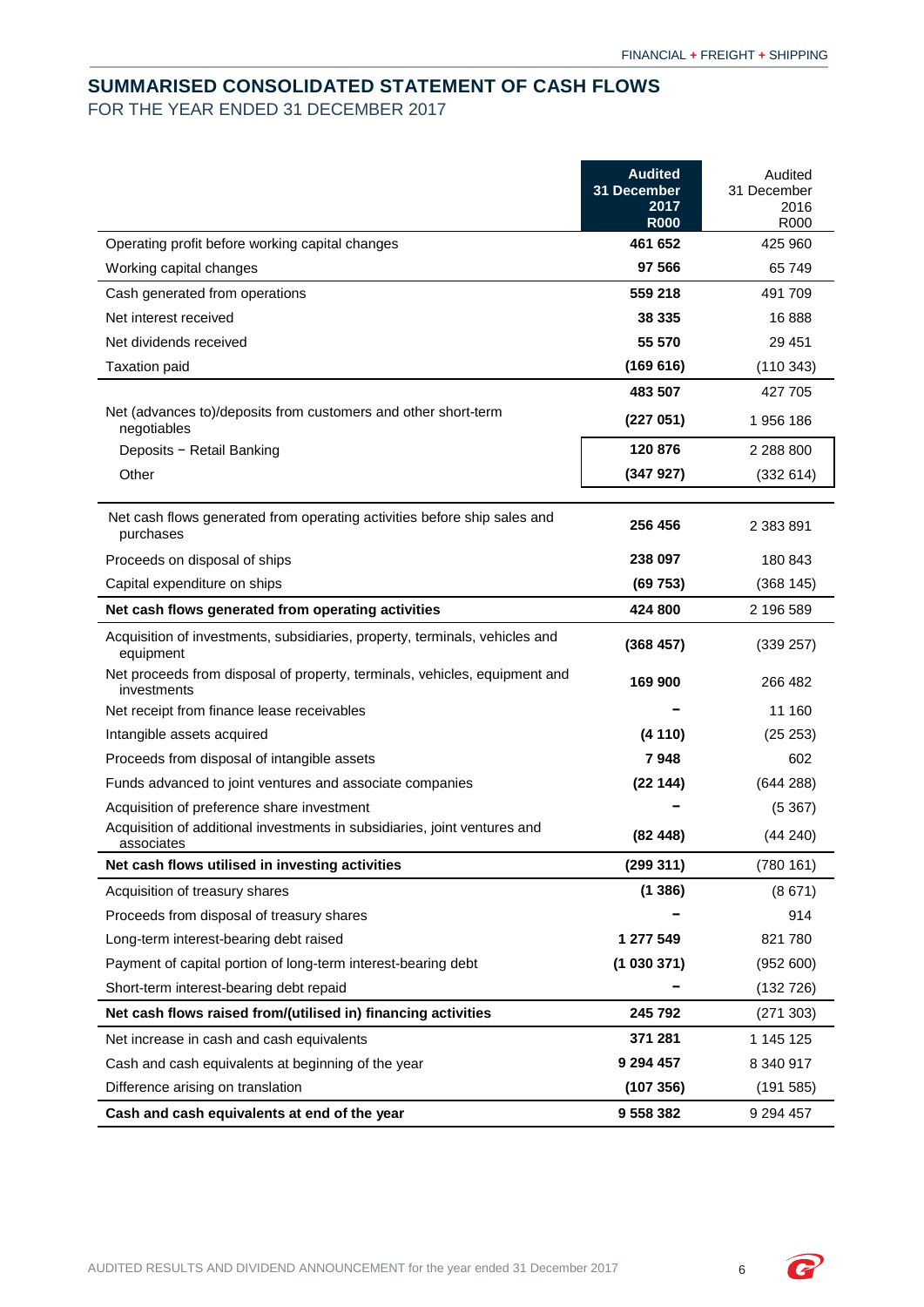# <span id="page-7-0"></span>**SUMMARISED CONSOLIDATED STATEMENT OF CASH FLOWS** FOR THE YEAR ENDED 31 DECEMBER 2017

|                                                                                           | <b>Audited</b><br>31 December<br>2017<br><b>R000</b> | Audited<br>31 December<br>2016<br>R000 |
|-------------------------------------------------------------------------------------------|------------------------------------------------------|----------------------------------------|
| Operating profit before working capital changes                                           | 461 652                                              | 425 960                                |
| Working capital changes                                                                   | 97 566                                               | 65 749                                 |
| Cash generated from operations                                                            | 559 218                                              | 491 709                                |
| Net interest received                                                                     | 38 335                                               | 16888                                  |
| Net dividends received                                                                    | 55 570                                               | 29 451                                 |
| <b>Taxation paid</b>                                                                      | (169616)                                             | (110343)                               |
|                                                                                           | 483 507                                              | 427 705                                |
| Net (advances to)/deposits from customers and other short-term<br>negotiables             | (227051)                                             | 1956186                                |
| Deposits - Retail Banking                                                                 | 120 876                                              | 2 288 800                              |
| Other                                                                                     | (347927)                                             | (332 614)                              |
| Net cash flows generated from operating activities before ship sales and<br>purchases     | 256 456                                              | 2 383 891                              |
| Proceeds on disposal of ships                                                             | 238 097                                              | 180 843                                |
| Capital expenditure on ships                                                              | (69753)                                              | (368145)                               |
| Net cash flows generated from operating activities                                        | 424 800                                              | 2 196 589                              |
| Acquisition of investments, subsidiaries, property, terminals, vehicles and<br>equipment  | (368457)                                             | (339 257)                              |
| Net proceeds from disposal of property, terminals, vehicles, equipment and<br>investments | 169 900                                              | 266 482                                |
| Net receipt from finance lease receivables                                                |                                                      | 11 160                                 |
| Intangible assets acquired                                                                | (4110)                                               | (25 253)                               |
| Proceeds from disposal of intangible assets                                               | 7948                                                 | 602                                    |
| Funds advanced to joint ventures and associate companies                                  | (22144)                                              | (644 288)                              |
| Acquisition of preference share investment                                                |                                                      | (5367)                                 |
| Acquisition of additional investments in subsidiaries, joint ventures and<br>associates   | (82448)                                              | (44240)                                |
| Net cash flows utilised in investing activities                                           | (299311)                                             | (780 161)                              |
| Acquisition of treasury shares                                                            | (1386)                                               | (8671)                                 |
| Proceeds from disposal of treasury shares                                                 |                                                      | 914                                    |
| Long-term interest-bearing debt raised                                                    | 1 277 549                                            | 821 780                                |
| Payment of capital portion of long-term interest-bearing debt                             | (1030371)                                            | (952 600)                              |
| Short-term interest-bearing debt repaid                                                   |                                                      | (132 726)                              |
| Net cash flows raised from/(utilised in) financing activities                             | 245 792                                              | (271303)                               |
| Net increase in cash and cash equivalents                                                 | 371 281                                              | 1 145 125                              |
| Cash and cash equivalents at beginning of the year                                        | 9 294 457                                            | 8 340 917                              |
| Difference arising on translation                                                         | (107 356)                                            | (191585)                               |
| Cash and cash equivalents at end of the year                                              | 9 558 382                                            | 9 294 457                              |

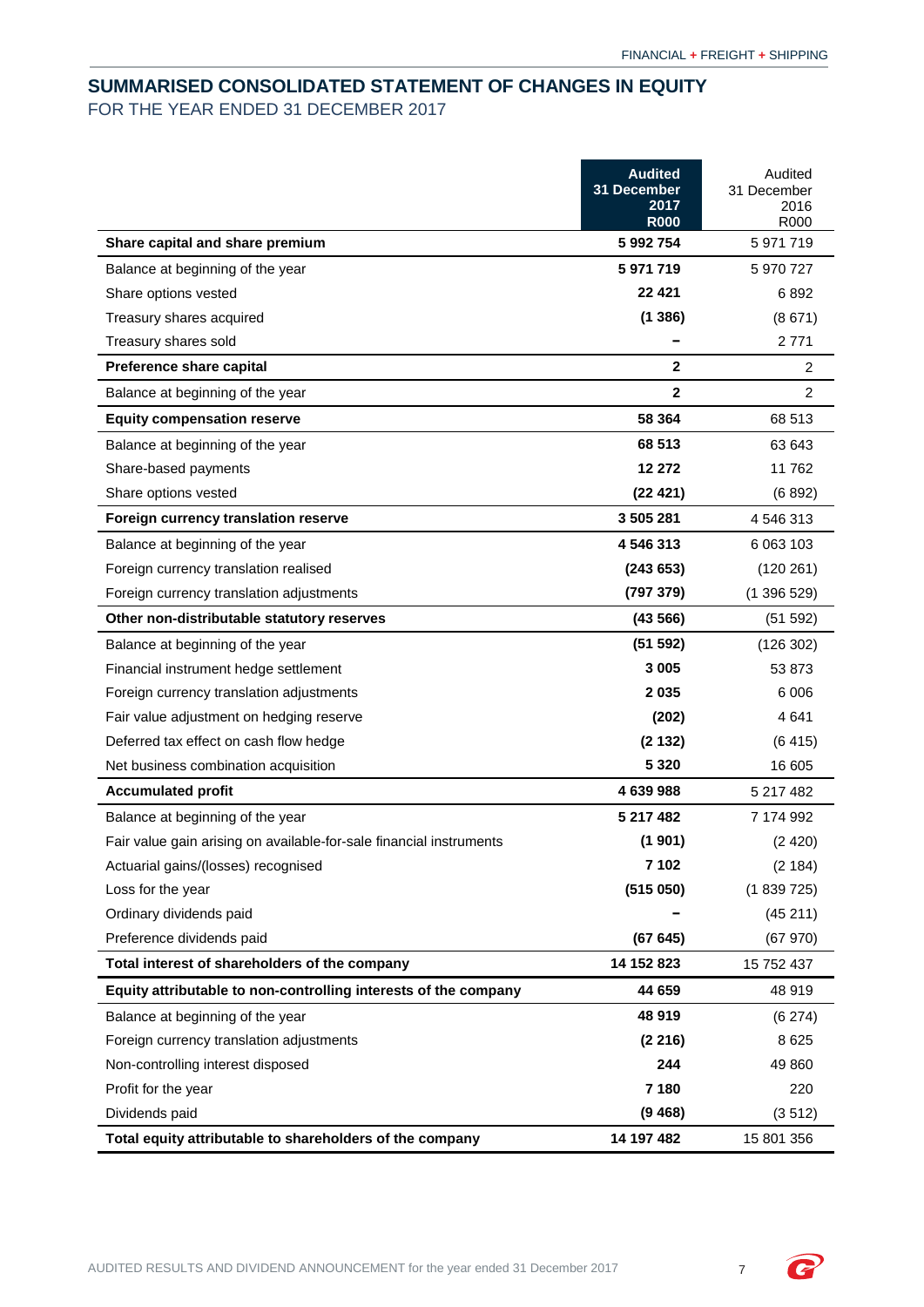# <span id="page-8-0"></span>**SUMMARISED CONSOLIDATED STATEMENT OF CHANGES IN EQUITY** FOR THE YEAR ENDED 31 DECEMBER 2017

|                                                                     | <b>Audited</b><br>31 December<br>2017<br><b>R000</b> | Audited<br>31 December<br>2016<br>R000 |
|---------------------------------------------------------------------|------------------------------------------------------|----------------------------------------|
| Share capital and share premium                                     | 5 992 754                                            | 5 971 719                              |
| Balance at beginning of the year                                    | 5971719                                              | 5 970 727                              |
| Share options vested                                                | 22 4 21                                              | 6892                                   |
| Treasury shares acquired                                            | (1386)                                               | (8671)                                 |
| Treasury shares sold                                                |                                                      | 2 7 7 1                                |
| Preference share capital                                            | $\mathbf{2}$                                         | 2                                      |
| Balance at beginning of the year                                    | $\overline{2}$                                       | $\overline{2}$                         |
| <b>Equity compensation reserve</b>                                  | 58 364                                               | 68 513                                 |
| Balance at beginning of the year                                    | 68 513                                               | 63 643                                 |
| Share-based payments                                                | 12 272                                               | 11 762                                 |
| Share options vested                                                | (22 421)                                             | (6892)                                 |
| Foreign currency translation reserve                                | 3 505 281                                            | 4 546 313                              |
| Balance at beginning of the year                                    | 4 546 313                                            | 6 063 103                              |
| Foreign currency translation realised                               | (243653)                                             | (120 261)                              |
| Foreign currency translation adjustments                            | (797 379)                                            | (1396529)                              |
| Other non-distributable statutory reserves                          | (43566)                                              | (51 592)                               |
| Balance at beginning of the year                                    | (51 592)                                             | (126 302)                              |
| Financial instrument hedge settlement                               | 3 0 0 5                                              | 53 873                                 |
| Foreign currency translation adjustments                            | 2035                                                 | 6 0 0 6                                |
| Fair value adjustment on hedging reserve                            | (202)                                                | 4641                                   |
| Deferred tax effect on cash flow hedge                              | (2132)                                               | (6415)                                 |
| Net business combination acquisition                                | 5 3 2 0                                              | 16 605                                 |
| <b>Accumulated profit</b>                                           | 4 639 988                                            | 5 217 482                              |
| Balance at beginning of the year                                    | 5 217 482                                            | 7 174 992                              |
| Fair value gain arising on available-for-sale financial instruments | (1901)                                               | (2420)                                 |
| Actuarial gains/(losses) recognised                                 | 7 102                                                | (2 184)                                |
| Loss for the year                                                   | (515050)                                             | (1839725)                              |
| Ordinary dividends paid                                             |                                                      | (45211)                                |
| Preference dividends paid                                           | (67645)                                              | (67970)                                |
| Total interest of shareholders of the company                       | 14 152 823                                           | 15 752 437                             |
| Equity attributable to non-controlling interests of the company     | 44 659                                               | 48 919                                 |
| Balance at beginning of the year                                    | 48 919                                               | (6274)                                 |
| Foreign currency translation adjustments                            | (2216)                                               | 8625                                   |
| Non-controlling interest disposed                                   | 244                                                  | 49 860                                 |
| Profit for the year                                                 | 7 180                                                | 220                                    |
| Dividends paid                                                      | (9468)                                               | (3512)                                 |
| Total equity attributable to shareholders of the company            | 14 197 482                                           | 15 801 356                             |

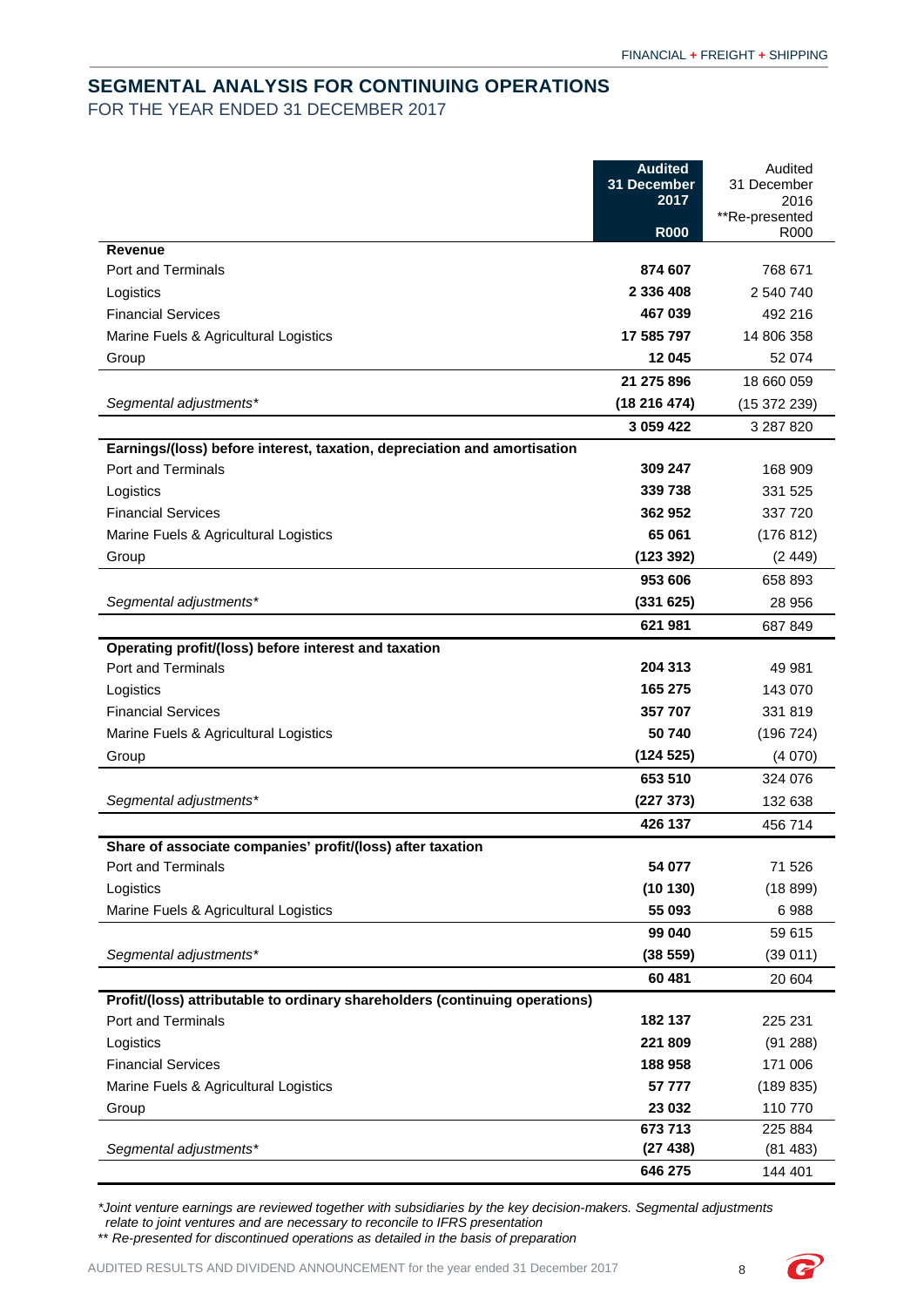# <span id="page-9-0"></span>**SEGMENTAL ANALYSIS FOR CONTINUING OPERATIONS** FOR THE YEAR ENDED 31 DECEMBER 2017

|                                                                             | <b>Audited</b><br>31 December<br>2017 | Audited<br>31 December<br>2016 |
|-----------------------------------------------------------------------------|---------------------------------------|--------------------------------|
|                                                                             | <b>R000</b>                           | **Re-presented<br>R000         |
| <b>Revenue</b>                                                              |                                       |                                |
| Port and Terminals                                                          | 874 607                               | 768 671                        |
| Logistics                                                                   | 2 336 408                             | 2 540 740                      |
| <b>Financial Services</b>                                                   | 467 039                               | 492 216                        |
| Marine Fuels & Agricultural Logistics                                       | 17 585 797                            | 14 806 358                     |
| Group                                                                       | 12 045                                | 52 074                         |
|                                                                             | 21 275 896                            | 18 660 059                     |
| Segmental adjustments*                                                      | (18216474)                            | (15372239)                     |
|                                                                             | 3 059 422                             | 3 287 820                      |
| Earnings/(loss) before interest, taxation, depreciation and amortisation    |                                       |                                |
| Port and Terminals                                                          | 309 247                               | 168 909                        |
| Logistics                                                                   | 339738                                | 331 525                        |
| <b>Financial Services</b>                                                   | 362 952                               | 337 720                        |
| Marine Fuels & Agricultural Logistics                                       | 65 061                                | (176 812)                      |
| Group                                                                       | (123 392)                             | (2449)                         |
|                                                                             | 953 606                               | 658 893                        |
| Segmental adjustments*                                                      | (331625)                              | 28 956                         |
|                                                                             | 621 981                               | 687 849                        |
| Operating profit/(loss) before interest and taxation                        |                                       |                                |
| <b>Port and Terminals</b>                                                   | 204 313                               | 49 981                         |
| Logistics                                                                   | 165 275                               | 143 070                        |
| <b>Financial Services</b>                                                   | 357 707                               | 331819                         |
| Marine Fuels & Agricultural Logistics                                       | 50 740                                | (196 724)                      |
| Group                                                                       | (124525)                              | (4070)                         |
|                                                                             | 653 510                               | 324 076                        |
| Segmental adjustments*                                                      | (227 373)                             | 132 638                        |
|                                                                             | 426 137                               | 456 714                        |
| Share of associate companies' profit/(loss) after taxation                  |                                       |                                |
| Port and Terminals                                                          | 54 077                                | 71 526                         |
| Logistics                                                                   | (10130)                               | (18899)                        |
| Marine Fuels & Agricultural Logistics                                       | 55 093                                | 6988                           |
|                                                                             | 99 040                                | 59 615                         |
| Segmental adjustments*                                                      | (38 559)                              | (39011)                        |
|                                                                             | 60 481                                | 20 604                         |
| Profit/(loss) attributable to ordinary shareholders (continuing operations) |                                       |                                |
| Port and Terminals                                                          | 182 137                               | 225 231                        |
| Logistics                                                                   | 221 809                               | (91 288)                       |
| <b>Financial Services</b>                                                   | 188 958                               | 171 006                        |
| Marine Fuels & Agricultural Logistics                                       | 57 777                                | (189 835)                      |
| Group                                                                       | 23 032<br>673 713                     | 110 770                        |
| Segmental adjustments*                                                      | (27438)                               | 225 884<br>(81483)             |
|                                                                             | 646 275                               | 144 401                        |
|                                                                             |                                       |                                |

*\*Joint venture earnings are reviewed together with subsidiaries by the key decision-makers. Segmental adjustments relate to joint ventures and are necessary to reconcile to IFRS presentation*

\*\* *Re-presented for discontinued operations as detailed in the basis of preparation*

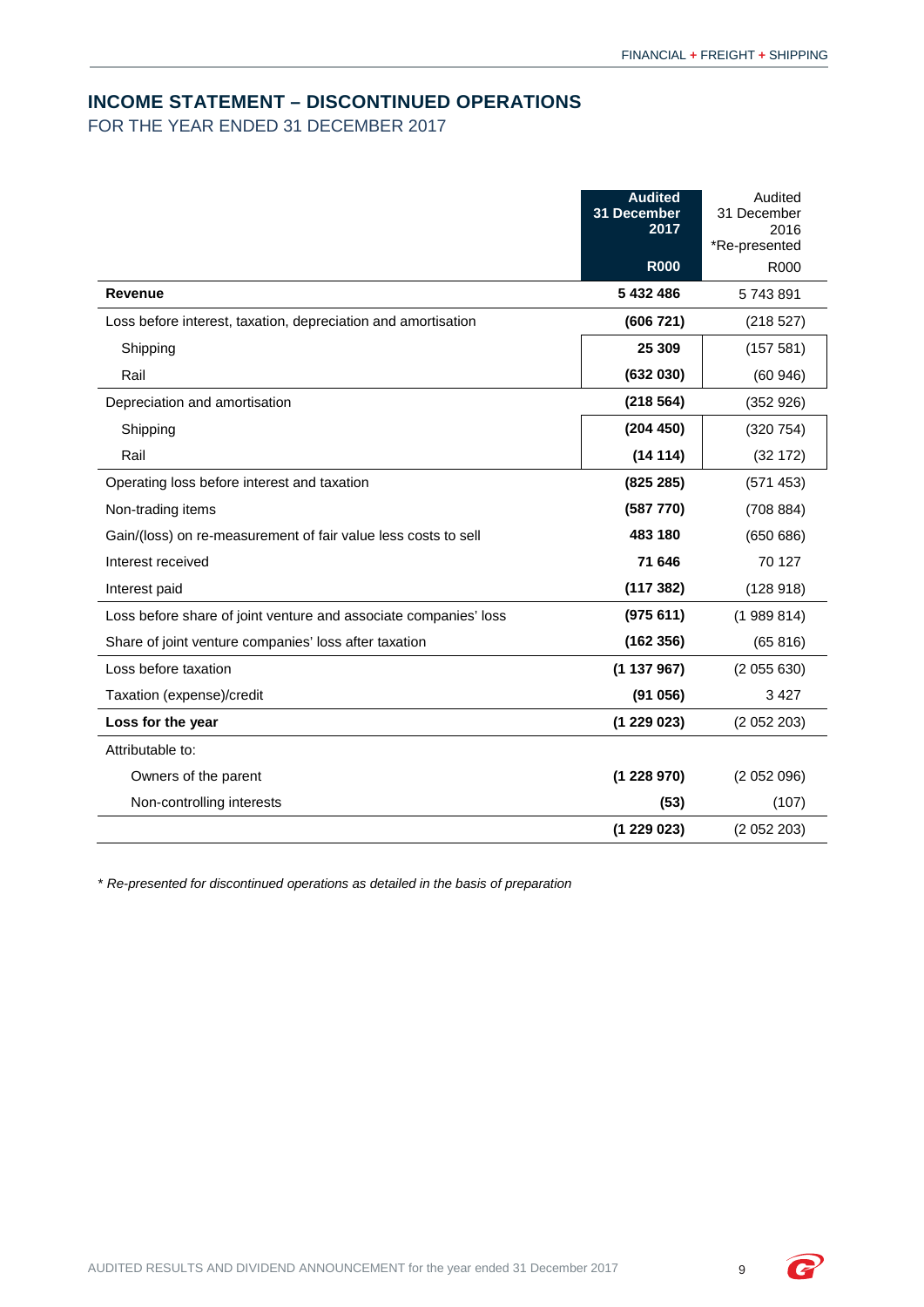## <span id="page-10-0"></span>**INCOME STATEMENT – DISCONTINUED OPERATIONS**

FOR THE YEAR ENDED 31 DECEMBER 2017

|                                                                  | <b>Audited</b><br>31 December<br>2017 | Audited<br>31 December<br>2016 |
|------------------------------------------------------------------|---------------------------------------|--------------------------------|
|                                                                  |                                       | *Re-presented                  |
|                                                                  | <b>R000</b>                           | R000                           |
| <b>Revenue</b>                                                   | 5 432 486                             | 5743891                        |
| Loss before interest, taxation, depreciation and amortisation    | (606721)                              | (218527)                       |
| Shipping                                                         | 25 309                                | (157581)                       |
| Rail                                                             | (632 030)                             | (60946)                        |
| Depreciation and amortisation                                    | (218564)                              | (352926)                       |
| Shipping                                                         | (204 450)                             | (320 754)                      |
| Rail                                                             | (14114)                               | (32 172)                       |
| Operating loss before interest and taxation                      | (825 285)                             | (571 453)                      |
| Non-trading items                                                | (587 770)                             | (708884)                       |
| Gain/(loss) on re-measurement of fair value less costs to sell   | 483 180                               | (650686)                       |
| Interest received                                                | 71 646                                | 70 127                         |
| Interest paid                                                    | (117382)                              | (128918)                       |
| Loss before share of joint venture and associate companies' loss | (975611)                              | (1989814)                      |
| Share of joint venture companies' loss after taxation            | (162356)                              | (65 816)                       |
| Loss before taxation                                             | (1137967)                             | (2055630)                      |
| Taxation (expense)/credit                                        | (91056)                               | 3 4 2 7                        |
| Loss for the year                                                | (1229023)                             | (2052203)                      |
| Attributable to:                                                 |                                       |                                |
| Owners of the parent                                             | (1228970)                             | (2052096)                      |
| Non-controlling interests                                        | (53)                                  | (107)                          |
|                                                                  | (1229023)                             | (2052203)                      |

\* *Re-presented for discontinued operations as detailed in the basis of preparation*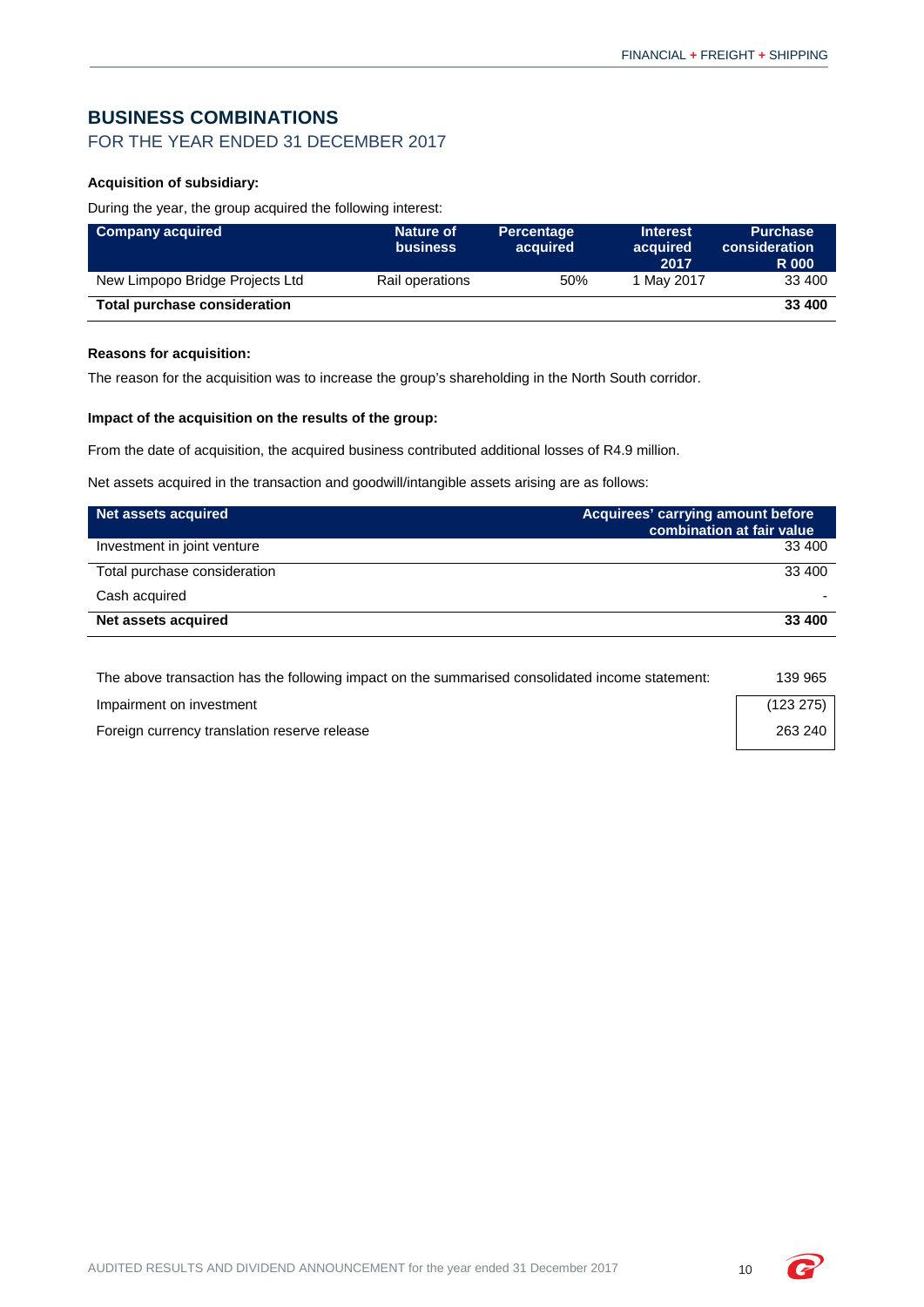# <span id="page-11-0"></span>**BUSINESS COMBINATIONS**

## FOR THE YEAR ENDED 31 DECEMBER 2017

## **Acquisition of subsidiary:**

During the year, the group acquired the following interest:

| <b>Company acquired</b>         | <b>Nature of</b><br><b>business</b> | <b>Percentage</b><br>acquired | <b>Interest</b><br>acquired<br>2017 | <b>Purchase</b><br>consideration<br><b>R</b> 000 |
|---------------------------------|-------------------------------------|-------------------------------|-------------------------------------|--------------------------------------------------|
| New Limpopo Bridge Projects Ltd | Rail operations                     | 50%                           | 1 May 2017                          | 33 400                                           |
| Total purchase consideration    |                                     |                               |                                     | 33 400                                           |

## **Reasons for acquisition:**

The reason for the acquisition was to increase the group's shareholding in the North South corridor.

#### **Impact of the acquisition on the results of the group:**

From the date of acquisition, the acquired business contributed additional losses of R4.9 million.

Net assets acquired in the transaction and goodwill/intangible assets arising are as follows:

| Net assets acquired          | Acquirees' carrying amount before<br>combination at fair value |
|------------------------------|----------------------------------------------------------------|
| Investment in joint venture  | 33 400                                                         |
| Total purchase consideration | 33 400                                                         |
| Cash acquired                |                                                                |
| Net assets acquired          | 33 400                                                         |

| The above transaction has the following impact on the summarised consolidated income statement: | 139 965   |
|-------------------------------------------------------------------------------------------------|-----------|
| Impairment on investment                                                                        | (123 275) |
| Foreign currency translation reserve release                                                    | 263 240   |

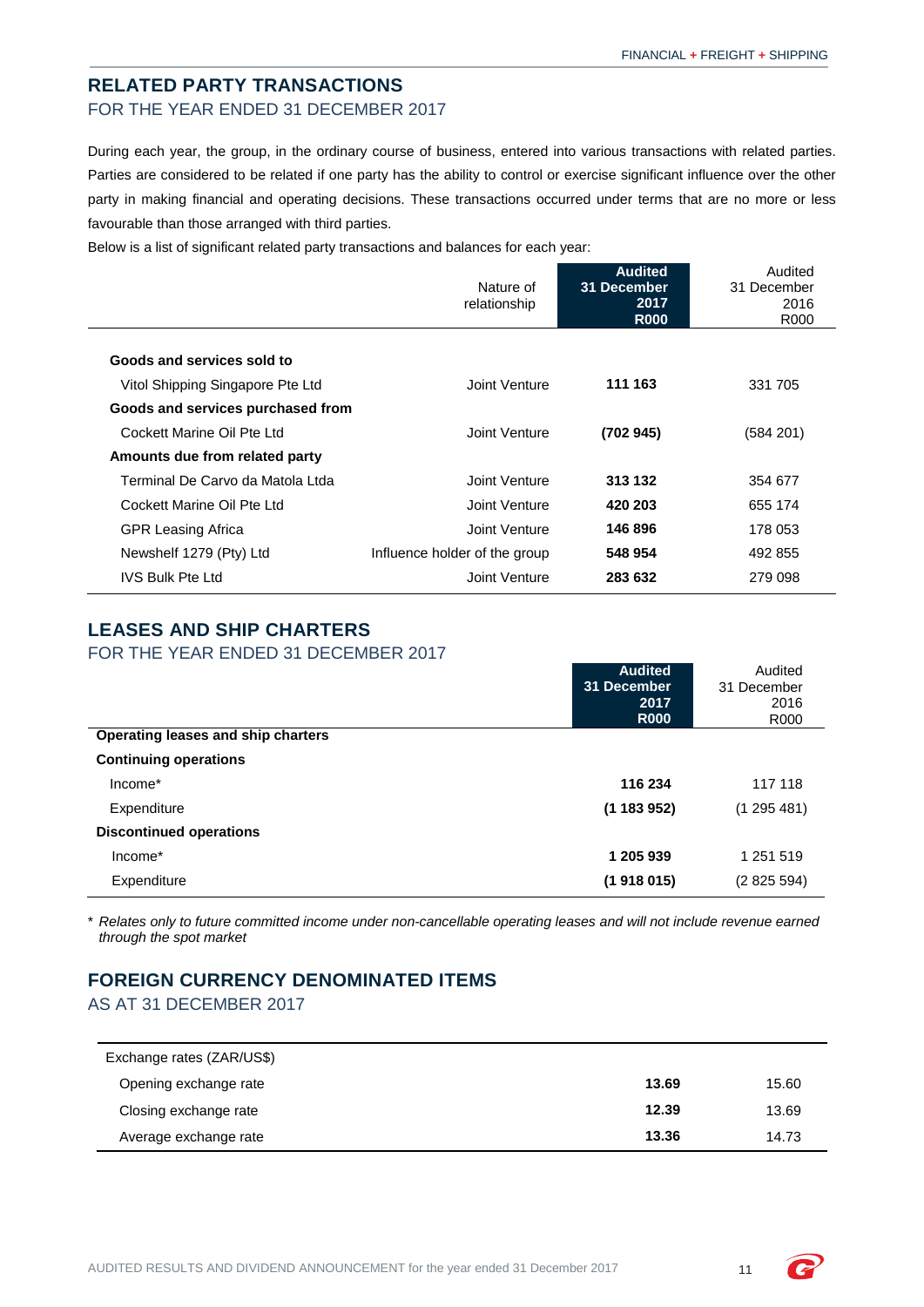## **RELATED PARTY TRANSACTIONS** FOR THE YEAR ENDED 31 DECEMBER 2017

During each year, the group, in the ordinary course of business, entered into various transactions with related parties. Parties are considered to be related if one party has the ability to control or exercise significant influence over the other party in making financial and operating decisions. These transactions occurred under terms that are no more or less favourable than those arranged with third parties.

Below is a list of significant related party transactions and balances for each year:

|                                   | Nature of<br>relationship     | <b>Audited</b><br><b>31 December</b><br>2017<br><b>R000</b> | Audited<br>31 December<br>2016<br>R000 |
|-----------------------------------|-------------------------------|-------------------------------------------------------------|----------------------------------------|
| Goods and services sold to        |                               |                                                             |                                        |
| Vitol Shipping Singapore Pte Ltd  | Joint Venture                 | 111 163                                                     | 331 705                                |
| Goods and services purchased from |                               |                                                             |                                        |
| Cockett Marine Oil Pte Ltd        | Joint Venture                 | (702 945)                                                   | (584 201)                              |
| Amounts due from related party    |                               |                                                             |                                        |
| Terminal De Carvo da Matola Ltda  | Joint Venture                 | 313 132                                                     | 354 677                                |
| Cockett Marine Oil Pte Ltd        | Joint Venture                 | 420 203                                                     | 655 174                                |
| <b>GPR Leasing Africa</b>         | Joint Venture                 | 146896                                                      | 178 053                                |
| Newshelf 1279 (Pty) Ltd           | Influence holder of the group | 548 954                                                     | 492 855                                |
| <b>IVS Bulk Pte Ltd</b>           | Joint Venture                 | 283 632                                                     | 279 098                                |

# <span id="page-12-0"></span>**LEASES AND SHIP CHARTERS**

FOR THE YEAR ENDED 31 DECEMBER 2017

|                                    | <b>Audited</b><br>31 December<br>2017<br><b>R000</b> | Audited<br>31 December<br>2016<br>R000 |
|------------------------------------|------------------------------------------------------|----------------------------------------|
| Operating leases and ship charters |                                                      |                                        |
| <b>Continuing operations</b>       |                                                      |                                        |
| Income*                            | 116 234                                              | 117 118                                |
| Expenditure                        | (1183952)                                            | (1295481)                              |
| <b>Discontinued operations</b>     |                                                      |                                        |
| Income*                            | 1 205 939                                            | 1 251 519                              |
| Expenditure                        | (1918015)                                            | (2825594)                              |

\* *Relates only to future committed income under non-cancellable operating leases and will not include revenue earned through the spot market*

# <span id="page-12-1"></span>**FOREIGN CURRENCY DENOMINATED ITEMS**

# AS AT 31 DECEMBER 2017

<span id="page-12-2"></span>

| Exchange rates (ZAR/US\$) |       |       |
|---------------------------|-------|-------|
| Opening exchange rate     | 13.69 | 15.60 |
| Closing exchange rate     | 12.39 | 13.69 |
| Average exchange rate     | 13.36 | 14.73 |

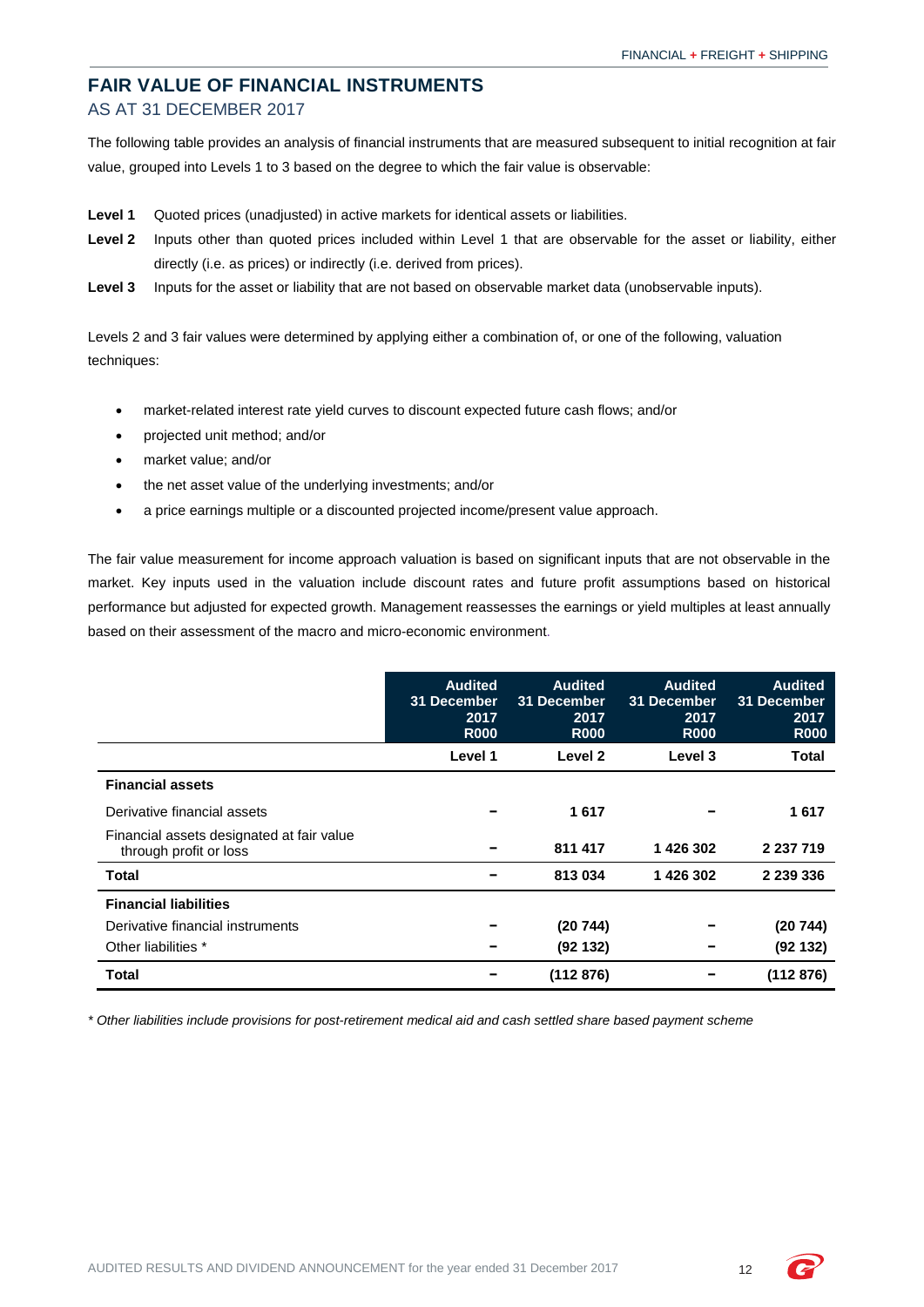# **FAIR VALUE OF FINANCIAL INSTRUMENTS** AS AT 31 DECEMBER 2017

The following table provides an analysis of financial instruments that are measured subsequent to initial recognition at fair value, grouped into Levels 1 to 3 based on the degree to which the fair value is observable:

- **Level 1** Quoted prices (unadjusted) in active markets for identical assets or liabilities.
- **Level 2** Inputs other than quoted prices included within Level 1 that are observable for the asset or liability, either directly (i.e. as prices) or indirectly (i.e. derived from prices).
- Level 3 Inputs for the asset or liability that are not based on observable market data (unobservable inputs).

Levels 2 and 3 fair values were determined by applying either a combination of, or one of the following, valuation techniques:

- market-related interest rate yield curves to discount expected future cash flows; and/or
- projected unit method; and/or
- market value; and/or
- the net asset value of the underlying investments; and/or
- a price earnings multiple or a discounted projected income/present value approach.

The fair value measurement for income approach valuation is based on significant inputs that are not observable in the market. Key inputs used in the valuation include discount rates and future profit assumptions based on historical performance but adjusted for expected growth. Management reassesses the earnings or yield multiples at least annually based on their assessment of the macro and micro-economic environment.

|                                                                     | <b>Audited</b><br>31 December<br>2017<br><b>R000</b> | <b>Audited</b><br>31 December<br>2017<br><b>R000</b> | <b>Audited</b><br>31 December<br>2017<br><b>R000</b> | <b>Audited</b><br>31 December<br>2017<br><b>R000</b> |
|---------------------------------------------------------------------|------------------------------------------------------|------------------------------------------------------|------------------------------------------------------|------------------------------------------------------|
|                                                                     | Level 1                                              | Level 2                                              | Level 3                                              | Total                                                |
| <b>Financial assets</b>                                             |                                                      |                                                      |                                                      |                                                      |
| Derivative financial assets                                         |                                                      | 1617                                                 |                                                      | 1617                                                 |
| Financial assets designated at fair value<br>through profit or loss |                                                      | 811 417                                              | 1426302                                              | 2 237 719                                            |
| <b>Total</b>                                                        |                                                      | 813034                                               | 1426302                                              | 2 239 336                                            |
| <b>Financial liabilities</b>                                        |                                                      |                                                      |                                                      |                                                      |
| Derivative financial instruments                                    |                                                      | (20 744)                                             |                                                      | (20744)                                              |
| Other liabilities *                                                 |                                                      | (92132)                                              |                                                      | (92132)                                              |
| Total                                                               |                                                      | (112 876)                                            |                                                      | (112 876)                                            |

*\* Other liabilities include provisions for post-retirement medical aid and cash settled share based payment scheme*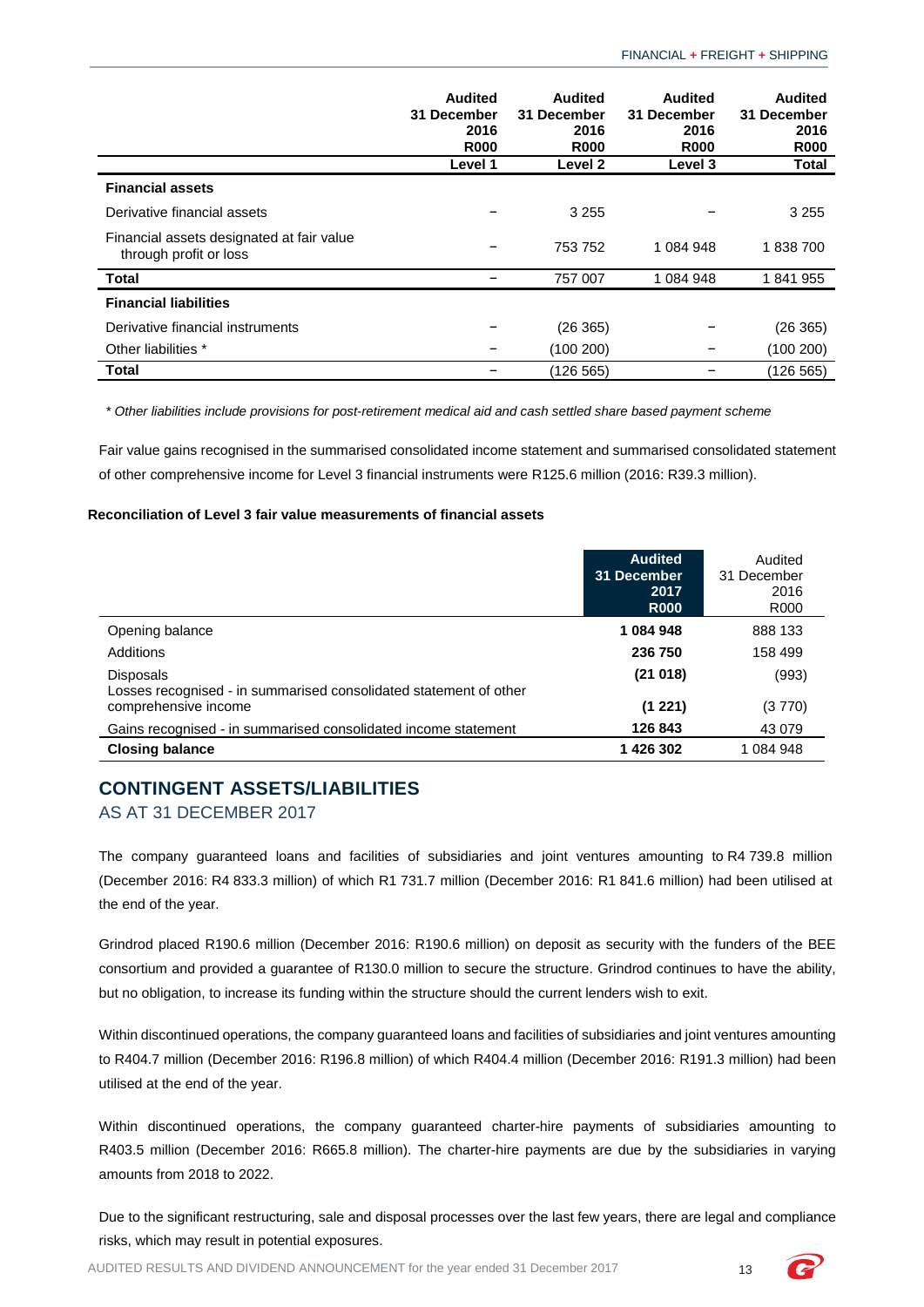|                                                                     | <b>Audited</b><br>31 December<br>2016<br><b>R000</b> | <b>Audited</b><br>31 December<br>2016<br><b>R000</b> | <b>Audited</b><br>31 December<br>2016<br><b>R000</b> | <b>Audited</b><br>31 December<br>2016<br><b>R000</b> |
|---------------------------------------------------------------------|------------------------------------------------------|------------------------------------------------------|------------------------------------------------------|------------------------------------------------------|
|                                                                     | Level 1                                              | Level 2                                              | <b>Level 3</b>                                       | <b>Total</b>                                         |
| <b>Financial assets</b>                                             |                                                      |                                                      |                                                      |                                                      |
| Derivative financial assets                                         |                                                      | 3 2 5 5                                              |                                                      | 3 2 5 5                                              |
| Financial assets designated at fair value<br>through profit or loss |                                                      | 753 752                                              | 1 084 948                                            | 1838700                                              |
| <b>Total</b>                                                        |                                                      | 757 007                                              | 1 084 948                                            | 1841955                                              |
| <b>Financial liabilities</b>                                        |                                                      |                                                      |                                                      |                                                      |
| Derivative financial instruments                                    |                                                      | (26 365)                                             |                                                      | (26 365)                                             |
| Other liabilities *                                                 |                                                      | (100 200)                                            |                                                      | (100 200)                                            |
| <b>Total</b>                                                        |                                                      | (126 565)                                            |                                                      | (126 565)                                            |

*\* Other liabilities include provisions for post-retirement medical aid and cash settled share based payment scheme*

Fair value gains recognised in the summarised consolidated income statement and summarised consolidated statement of other comprehensive income for Level 3 financial instruments were R125.6 million (2016: R39.3 million).

#### **Reconciliation of Level 3 fair value measurements of financial assets**

|                                                                                       | <b>Audited</b><br>31 December<br>2017<br><b>R000</b> | Audited<br>31 December<br>2016<br>R000 |
|---------------------------------------------------------------------------------------|------------------------------------------------------|----------------------------------------|
| Opening balance                                                                       | 1084948                                              | 888 133                                |
| Additions                                                                             | 236 750                                              | 158 499                                |
| <b>Disposals</b><br>Losses recognised - in summarised consolidated statement of other | (21018)                                              | (993)                                  |
| comprehensive income                                                                  | (1 221)                                              | (3770)                                 |
| Gains recognised - in summarised consolidated income statement                        | 126 843                                              | 43 0 79                                |
| <b>Closing balance</b>                                                                | 1 426 302                                            | 1 084 948                              |

# <span id="page-14-0"></span>**CONTINGENT ASSETS/LIABILITIES**

## AS AT 31 DECEMBER 2017

The company guaranteed loans and facilities of subsidiaries and joint ventures amounting to R4 739.8 million (December 2016: R4 833.3 million) of which R1 731.7 million (December 2016: R1 841.6 million) had been utilised at the end of the year.

Grindrod placed R190.6 million (December 2016: R190.6 million) on deposit as security with the funders of the BEE consortium and provided a guarantee of R130.0 million to secure the structure. Grindrod continues to have the ability, but no obligation, to increase its funding within the structure should the current lenders wish to exit.

Within discontinued operations, the company guaranteed loans and facilities of subsidiaries and joint ventures amounting to R404.7 million (December 2016: R196.8 million) of which R404.4 million (December 2016: R191.3 million) had been utilised at the end of the year.

Within discontinued operations, the company guaranteed charter-hire payments of subsidiaries amounting to R403.5 million (December 2016: R665.8 million). The charter-hire payments are due by the subsidiaries in varying amounts from 2018 to 2022.

Due to the significant restructuring, sale and disposal processes over the last few years, there are legal and compliance risks, which may result in potential exposures.

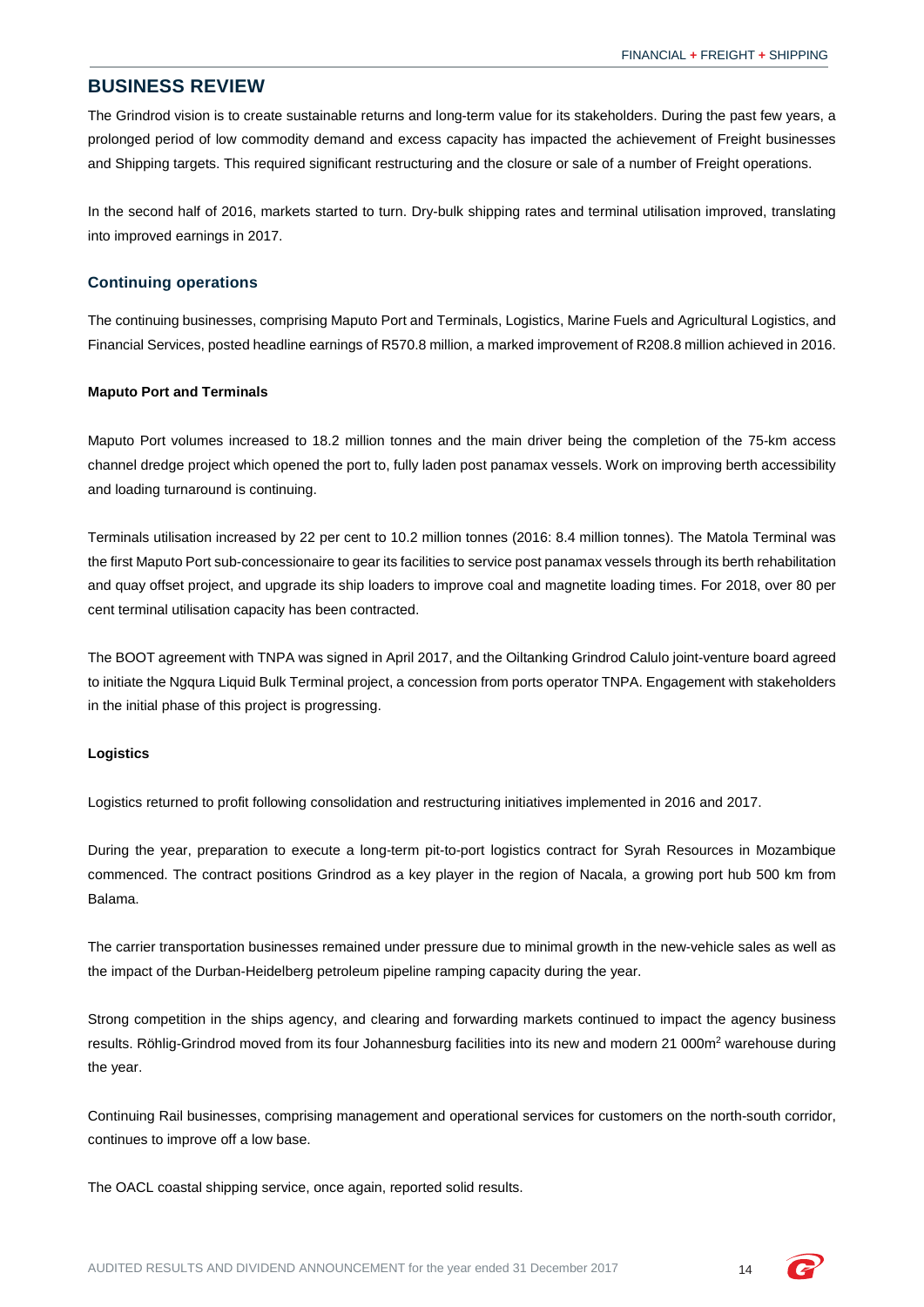## <span id="page-15-0"></span>**BUSINESS REVIEW**

The Grindrod vision is to create sustainable returns and long-term value for its stakeholders. During the past few years, a prolonged period of low commodity demand and excess capacity has impacted the achievement of Freight businesses and Shipping targets. This required significant restructuring and the closure or sale of a number of Freight operations.

In the second half of 2016, markets started to turn. Dry-bulk shipping rates and terminal utilisation improved, translating into improved earnings in 2017.

## **Continuing operations**

The continuing businesses, comprising Maputo Port and Terminals, Logistics, Marine Fuels and Agricultural Logistics, and Financial Services, posted headline earnings of R570.8 million, a marked improvement of R208.8 million achieved in 2016.

#### **Maputo Port and Terminals**

Maputo Port volumes increased to 18.2 million tonnes and the main driver being the completion of the 75-km access channel dredge project which opened the port to, fully laden post panamax vessels. Work on improving berth accessibility and loading turnaround is continuing.

Terminals utilisation increased by 22 per cent to 10.2 million tonnes (2016: 8.4 million tonnes). The Matola Terminal was the first Maputo Port sub-concessionaire to gear its facilities to service post panamax vessels through its berth rehabilitation and quay offset project, and upgrade its ship loaders to improve coal and magnetite loading times. For 2018, over 80 per cent terminal utilisation capacity has been contracted.

The BOOT agreement with TNPA was signed in April 2017, and the Oiltanking Grindrod Calulo joint-venture board agreed to initiate the Ngqura Liquid Bulk Terminal project, a concession from ports operator TNPA. Engagement with stakeholders in the initial phase of this project is progressing.

#### **Logistics**

Logistics returned to profit following consolidation and restructuring initiatives implemented in 2016 and 2017.

During the year, preparation to execute a long-term pit-to-port logistics contract for Syrah Resources in Mozambique commenced. The contract positions Grindrod as a key player in the region of Nacala, a growing port hub 500 km from Balama.

The carrier transportation businesses remained under pressure due to minimal growth in the new-vehicle sales as well as the impact of the Durban-Heidelberg petroleum pipeline ramping capacity during the year.

Strong competition in the ships agency, and clearing and forwarding markets continued to impact the agency business results. Röhlig-Grindrod moved from its four Johannesburg facilities into its new and modern 21 000m<sup>2</sup> warehouse during the year.

Continuing Rail businesses, comprising management and operational services for customers on the north-south corridor, continues to improve off a low base.

The OACL coastal shipping service, once again, reported solid results.

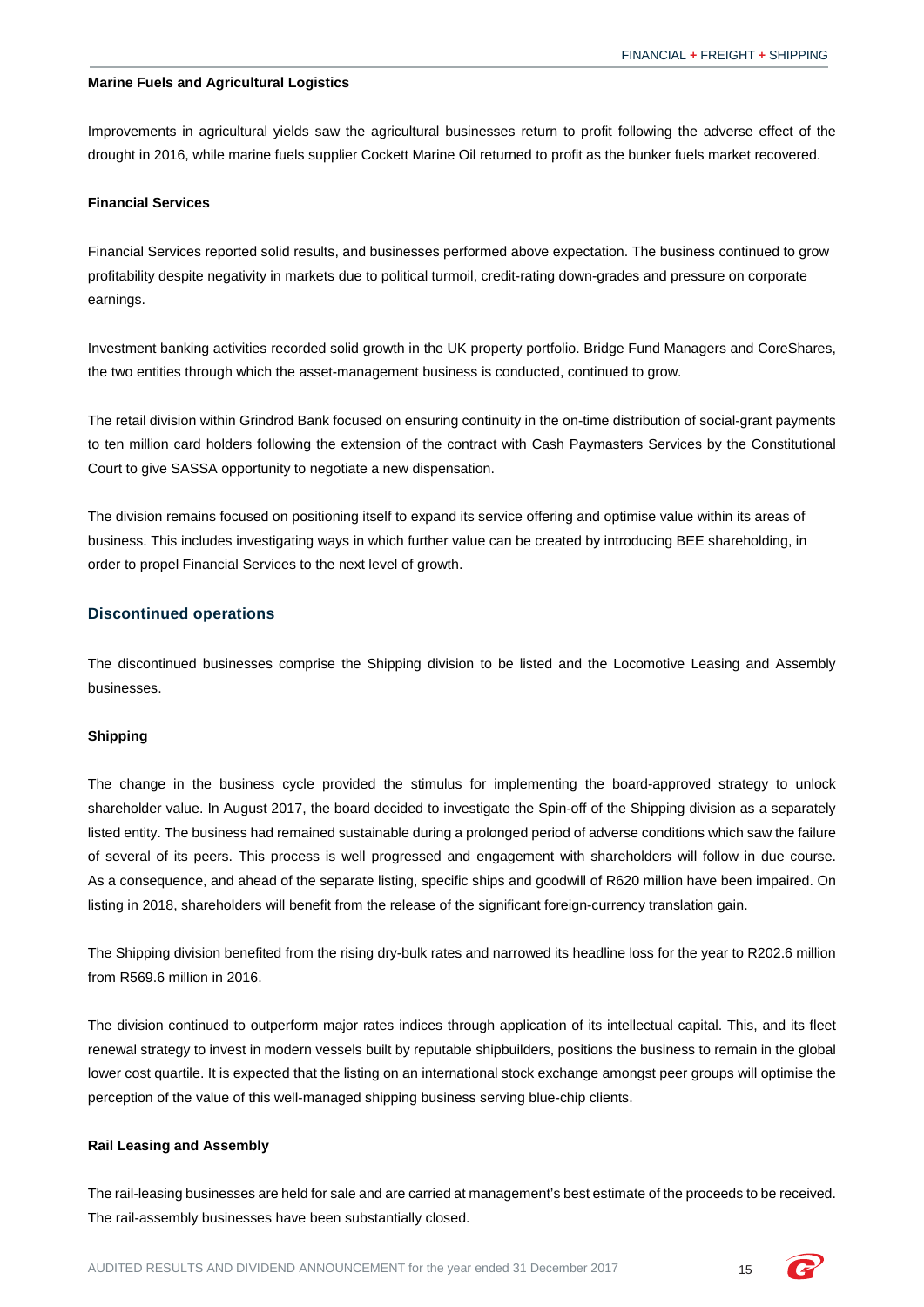#### **Marine Fuels and Agricultural Logistics**

Improvements in agricultural yields saw the agricultural businesses return to profit following the adverse effect of the drought in 2016, while marine fuels supplier Cockett Marine Oil returned to profit as the bunker fuels market recovered.

#### **Financial Services**

Financial Services reported solid results, and businesses performed above expectation. The business continued to grow profitability despite negativity in markets due to political turmoil, credit-rating down-grades and pressure on corporate earnings.

Investment banking activities recorded solid growth in the UK property portfolio. Bridge Fund Managers and CoreShares, the two entities through which the asset-management business is conducted, continued to grow.

The retail division within Grindrod Bank focused on ensuring continuity in the on-time distribution of social-grant payments to ten million card holders following the extension of the contract with Cash Paymasters Services by the Constitutional Court to give SASSA opportunity to negotiate a new dispensation.

The division remains focused on positioning itself to expand its service offering and optimise value within its areas of business. This includes investigating ways in which further value can be created by introducing BEE shareholding, in order to propel Financial Services to the next level of growth.

#### **Discontinued operations**

The discontinued businesses comprise the Shipping division to be listed and the Locomotive Leasing and Assembly businesses.

#### **Shipping**

The change in the business cycle provided the stimulus for implementing the board-approved strategy to unlock shareholder value. In August 2017, the board decided to investigate the Spin-off of the Shipping division as a separately listed entity. The business had remained sustainable during a prolonged period of adverse conditions which saw the failure of several of its peers. This process is well progressed and engagement with shareholders will follow in due course. As a consequence, and ahead of the separate listing, specific ships and goodwill of R620 million have been impaired. On listing in 2018, shareholders will benefit from the release of the significant foreign-currency translation gain.

The Shipping division benefited from the rising dry-bulk rates and narrowed its headline loss for the year to R202.6 million from R569.6 million in 2016.

The division continued to outperform major rates indices through application of its intellectual capital. This, and its fleet renewal strategy to invest in modern vessels built by reputable shipbuilders, positions the business to remain in the global lower cost quartile. It is expected that the listing on an international stock exchange amongst peer groups will optimise the perception of the value of this well-managed shipping business serving blue-chip clients.

### **Rail Leasing and Assembly**

The rail-leasing businesses are held for sale and are carried at management's best estimate of the proceeds to be received. The rail-assembly businesses have been substantially closed.

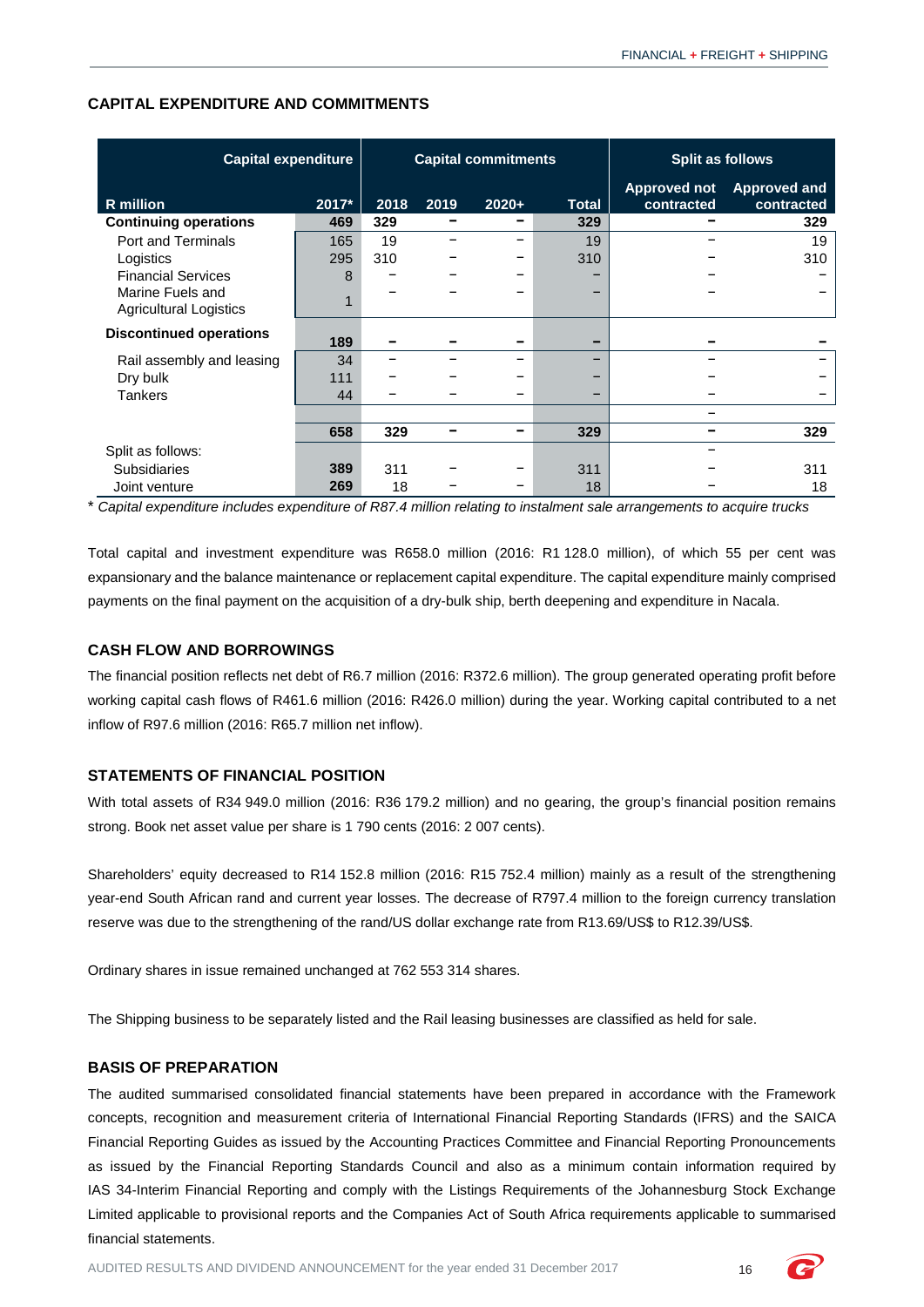| <b>Capital expenditure</b>                        |       | <b>Capital commitments</b> |      | <b>Split as follows</b> |              |                                   |                                   |
|---------------------------------------------------|-------|----------------------------|------|-------------------------|--------------|-----------------------------------|-----------------------------------|
| R million                                         | 2017* | 2018                       | 2019 | $2020+$                 | <b>Total</b> | <b>Approved not</b><br>contracted | <b>Approved and</b><br>contracted |
| <b>Continuing operations</b>                      | 469   | 329                        | -    |                         | 329          |                                   | 329                               |
| <b>Port and Terminals</b>                         | 165   | 19                         |      |                         | 19           |                                   | 19                                |
| Logistics                                         | 295   | 310                        |      |                         | 310          |                                   | 310                               |
| <b>Financial Services</b>                         | 8     |                            |      |                         |              |                                   |                                   |
| Marine Fuels and<br><b>Agricultural Logistics</b> |       |                            |      |                         | -            |                                   |                                   |
| <b>Discontinued operations</b>                    | 189   |                            |      |                         | -            |                                   |                                   |
| Rail assembly and leasing                         | 34    |                            |      |                         | -            |                                   |                                   |
| Dry bulk                                          | 111   |                            |      |                         |              |                                   |                                   |
| <b>Tankers</b>                                    | 44    |                            |      |                         | -            |                                   |                                   |
|                                                   |       |                            |      |                         |              |                                   |                                   |
|                                                   | 658   | 329                        | -    |                         | 329          |                                   | 329                               |
| Split as follows:                                 |       |                            |      |                         |              |                                   |                                   |
| <b>Subsidiaries</b>                               | 389   | 311                        |      |                         | 311          |                                   | 311                               |
| Joint venture                                     | 269   | 18                         |      |                         | 18           |                                   | 18                                |

## **CAPITAL EXPENDITURE AND COMMITMENTS**

\* *Capital expenditure includes expenditure of R87.4 million relating to instalment sale arrangements to acquire trucks*

Total capital and investment expenditure was R658.0 million (2016: R1 128.0 million), of which 55 per cent was expansionary and the balance maintenance or replacement capital expenditure. The capital expenditure mainly comprised payments on the final payment on the acquisition of a dry-bulk ship, berth deepening and expenditure in Nacala.

## **CASH FLOW AND BORROWINGS**

The financial position reflects net debt of R6.7 million (2016: R372.6 million). The group generated operating profit before working capital cash flows of R461.6 million (2016: R426.0 million) during the year. Working capital contributed to a net inflow of R97.6 million (2016: R65.7 million net inflow).

## **STATEMENTS OF FINANCIAL POSITION**

With total assets of R34 949.0 million (2016: R36 179.2 million) and no gearing, the group's financial position remains strong. Book net asset value per share is 1 790 cents (2016: 2 007 cents).

Shareholders' equity decreased to R14 152.8 million (2016: R15 752.4 million) mainly as a result of the strengthening year-end South African rand and current year losses. The decrease of R797.4 million to the foreign currency translation reserve was due to the strengthening of the rand/US dollar exchange rate from R13.69/US\$ to R12.39/US\$.

Ordinary shares in issue remained unchanged at 762 553 314 shares.

The Shipping business to be separately listed and the Rail leasing businesses are classified as held for sale.

## **BASIS OF PREPARATION**

The audited summarised consolidated financial statements have been prepared in accordance with the Framework concepts, recognition and measurement criteria of International Financial Reporting Standards (IFRS) and the SAICA Financial Reporting Guides as issued by the Accounting Practices Committee and Financial Reporting Pronouncements as issued by the Financial Reporting Standards Council and also as a minimum contain information required by IAS 34-Interim Financial Reporting and comply with the Listings Requirements of the Johannesburg Stock Exchange Limited applicable to provisional reports and the Companies Act of South Africa requirements applicable to summarised financial statements.

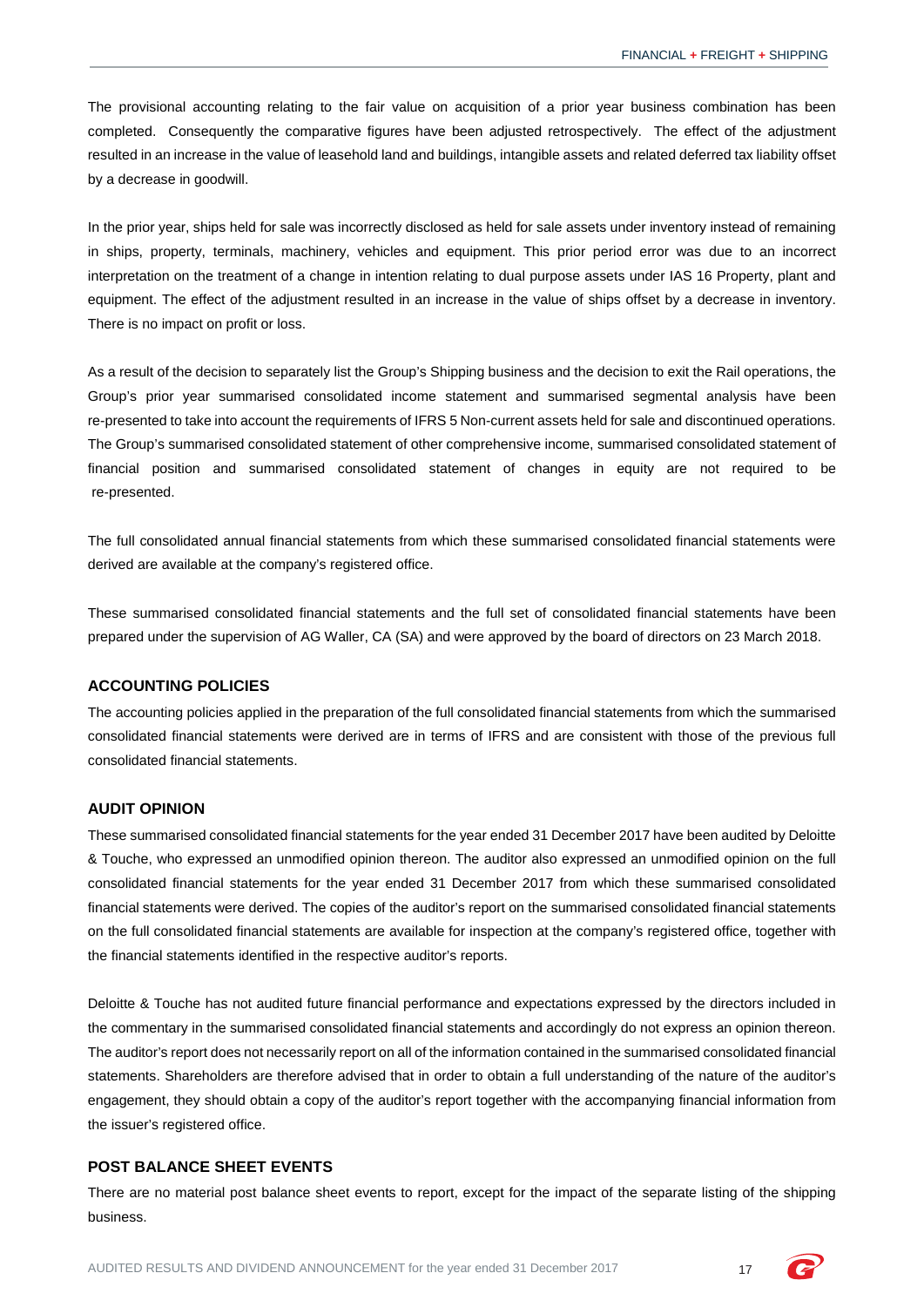The provisional accounting relating to the fair value on acquisition of a prior year business combination has been completed. Consequently the comparative figures have been adjusted retrospectively. The effect of the adjustment resulted in an increase in the value of leasehold land and buildings, intangible assets and related deferred tax liability offset by a decrease in goodwill.

In the prior year, ships held for sale was incorrectly disclosed as held for sale assets under inventory instead of remaining in ships, property, terminals, machinery, vehicles and equipment. This prior period error was due to an incorrect interpretation on the treatment of a change in intention relating to dual purpose assets under IAS 16 Property, plant and equipment. The effect of the adjustment resulted in an increase in the value of ships offset by a decrease in inventory. There is no impact on profit or loss.

As a result of the decision to separately list the Group's Shipping business and the decision to exit the Rail operations, the Group's prior year summarised consolidated income statement and summarised segmental analysis have been re-presented to take into account the requirements of IFRS 5 Non-current assets held for sale and discontinued operations. The Group's summarised consolidated statement of other comprehensive income, summarised consolidated statement of financial position and summarised consolidated statement of changes in equity are not required to be re-presented.

The full consolidated annual financial statements from which these summarised consolidated financial statements were derived are available at the company's registered office.

These summarised consolidated financial statements and the full set of consolidated financial statements have been prepared under the supervision of AG Waller, CA (SA) and were approved by the board of directors on 23 March 2018.

## **ACCOUNTING POLICIES**

The accounting policies applied in the preparation of the full consolidated financial statements from which the summarised consolidated financial statements were derived are in terms of IFRS and are consistent with those of the previous full consolidated financial statements.

#### **AUDIT OPINION**

These summarised consolidated financial statements for the year ended 31 December 2017 have been audited by Deloitte & Touche, who expressed an unmodified opinion thereon. The auditor also expressed an unmodified opinion on the full consolidated financial statements for the year ended 31 December 2017 from which these summarised consolidated financial statements were derived. The copies of the auditor's report on the summarised consolidated financial statements on the full consolidated financial statements are available for inspection at the company's registered office, together with the financial statements identified in the respective auditor's reports.

Deloitte & Touche has not audited future financial performance and expectations expressed by the directors included in the commentary in the summarised consolidated financial statements and accordingly do not express an opinion thereon. The auditor's report does not necessarily report on all of the information contained in the summarised consolidated financial statements. Shareholders are therefore advised that in order to obtain a full understanding of the nature of the auditor's engagement, they should obtain a copy of the auditor's report together with the accompanying financial information from the issuer's registered office.

## **POST BALANCE SHEET EVENTS**

There are no material post balance sheet events to report, except for the impact of the separate listing of the shipping business.

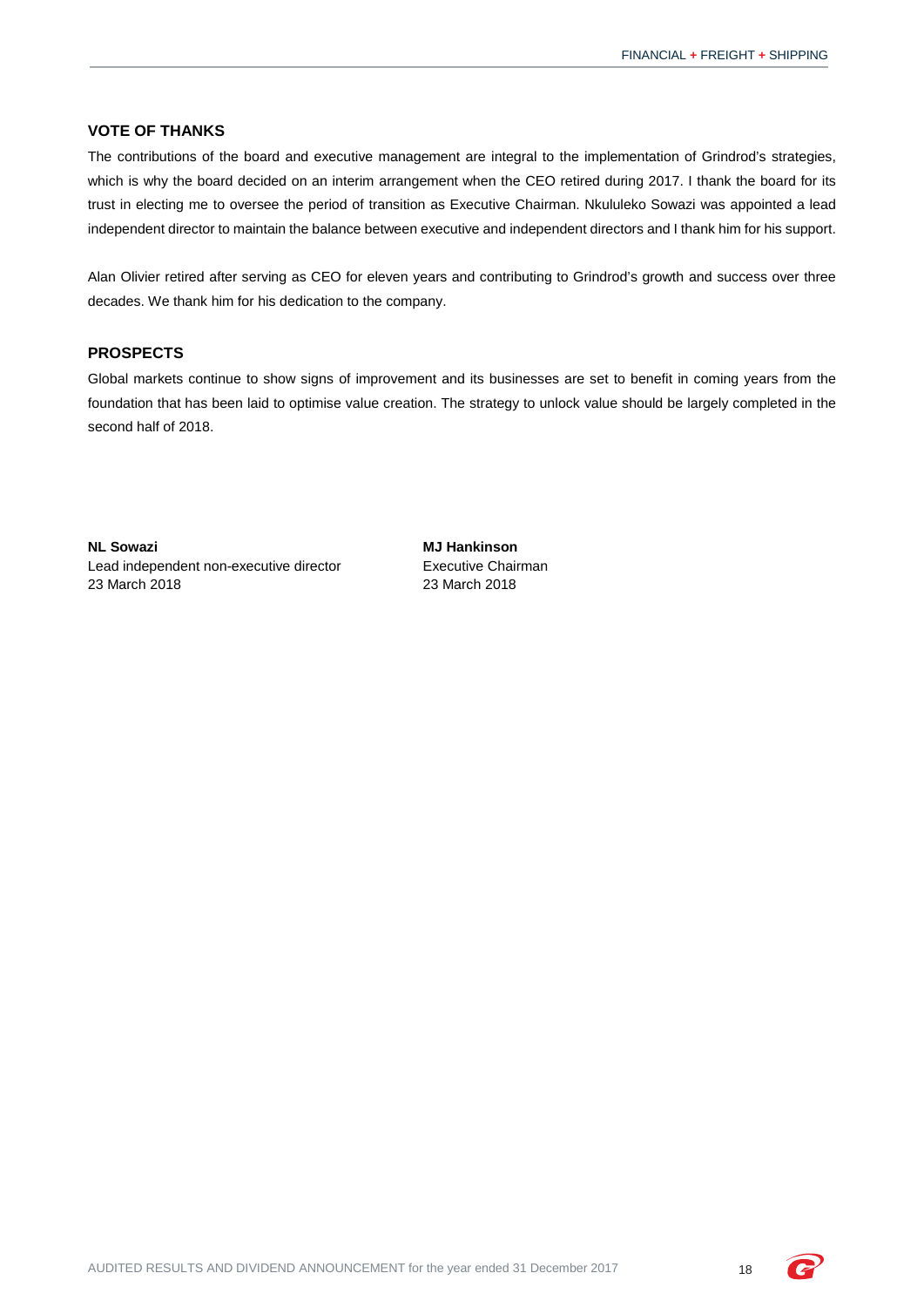## **VOTE OF THANKS**

The contributions of the board and executive management are integral to the implementation of Grindrod's strategies, which is why the board decided on an interim arrangement when the CEO retired during 2017. I thank the board for its trust in electing me to oversee the period of transition as Executive Chairman. Nkululeko Sowazi was appointed a lead independent director to maintain the balance between executive and independent directors and I thank him for his support.

Alan Olivier retired after serving as CEO for eleven years and contributing to Grindrod's growth and success over three decades. We thank him for his dedication to the company.

## **PROSPECTS**

Global markets continue to show signs of improvement and its businesses are set to benefit in coming years from the foundation that has been laid to optimise value creation. The strategy to unlock value should be largely completed in the second half of 2018.

**NL Sowazi MJ Hankinson** Lead independent non-executive director **Executive Chairman**<br>23 March 2018 2018

23 March 2018